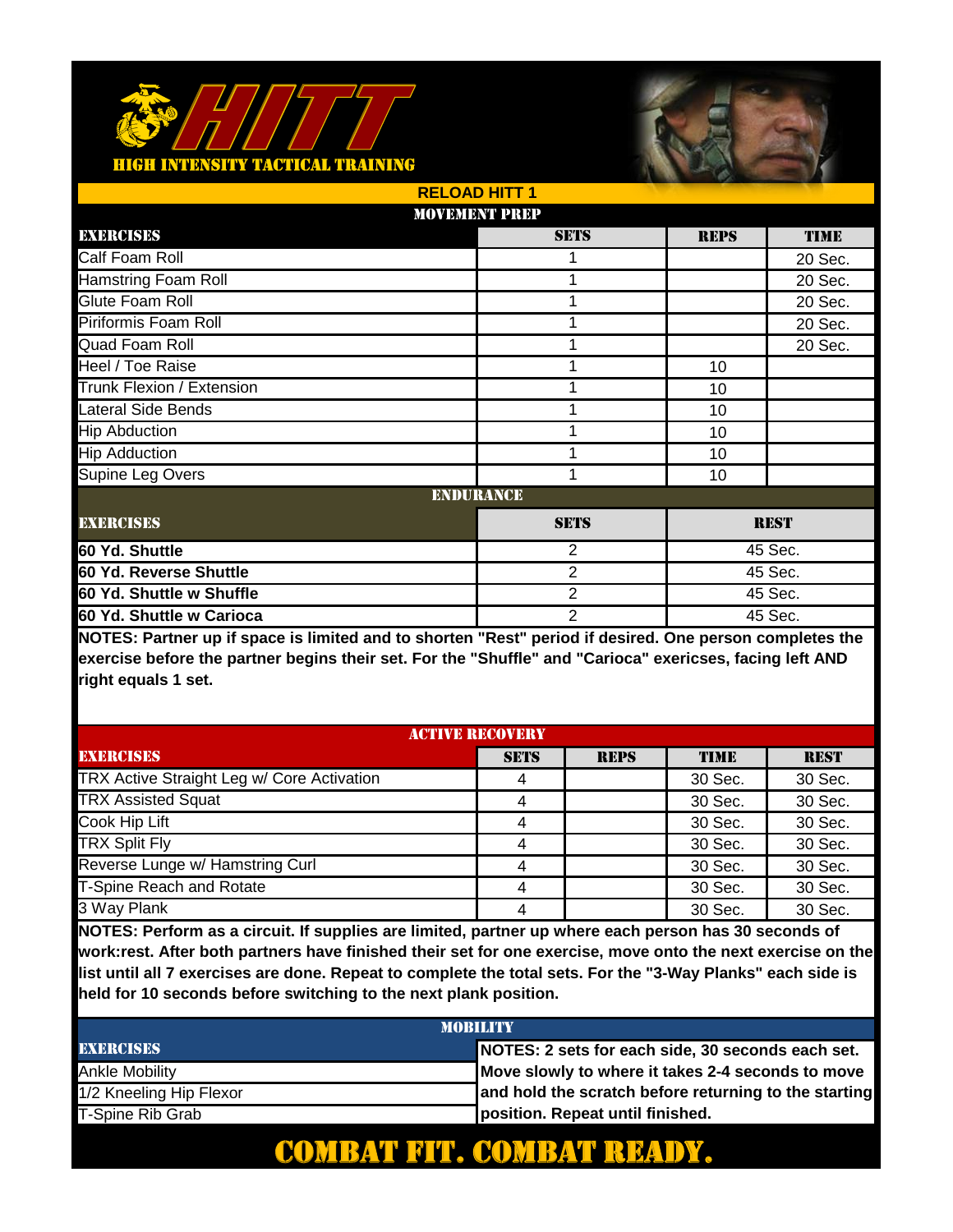

|                            | <b>RELOAD HITT 1</b> |                |             |             |  |
|----------------------------|----------------------|----------------|-------------|-------------|--|
|                            | <b>MOVEMENT PREP</b> |                |             |             |  |
| EXERCISES                  |                      | <b>SETS</b>    | <b>REPS</b> | <b>TIME</b> |  |
| Calf Foam Roll             |                      |                |             | 20 Sec.     |  |
| <b>Hamstring Foam Roll</b> |                      | 1              |             | 20 Sec.     |  |
| Glute Foam Roll            |                      | 1              |             | 20 Sec.     |  |
| Piriformis Foam Roll       |                      | 1              |             | 20 Sec.     |  |
| Quad Foam Roll             |                      | 1              |             | 20 Sec.     |  |
| Heel / Toe Raise           |                      |                | 10          |             |  |
| Trunk Flexion / Extension  |                      | 1              | 10          |             |  |
| Lateral Side Bends         |                      | 1              | 10          |             |  |
| <b>Hip Abduction</b>       |                      | 1              | 10          |             |  |
| <b>Hip Adduction</b>       |                      | 1              | 10          |             |  |
| Supine Leg Overs           |                      | 1              | 10          |             |  |
|                            | <b>ENDURANCE</b>     |                |             |             |  |
| <b>EXERCISES</b>           |                      | <b>SETS</b>    | <b>REST</b> |             |  |
| 60 Yd. Shuttle             |                      | 2              |             | 45 Sec.     |  |
| 60 Yd. Reverse Shuttle     |                      | 2              |             | 45 Sec.     |  |
| 60 Yd. Shuttle w Shuffle   |                      | $\overline{2}$ |             | 45 Sec.     |  |
| 60 Yd. Shuttle w Carioca   |                      | $\overline{2}$ | 45 Sec.     |             |  |

**NOTES: Partner up if space is limited and to shorten "Rest" period if desired. One person completes the exercise before the partner begins their set. For the "Shuffle" and "Carioca" exericses, facing left AND right equals 1 set.** 

| <b>ACTIVE RECOVERY</b>                     |             |             |             |             |
|--------------------------------------------|-------------|-------------|-------------|-------------|
| <b>EXERCISES</b>                           | <b>SETS</b> | <b>REPS</b> | <b>TIME</b> | <b>REST</b> |
| TRX Active Straight Leg w/ Core Activation | 4           |             | 30 Sec.     | 30 Sec.     |
| <b>TRX Assisted Squat</b>                  | 4           |             | 30 Sec.     | 30 Sec.     |
| Cook Hip Lift                              | 4           |             | 30 Sec.     | 30 Sec.     |
| <b>TRX Split Fly</b>                       | 4           |             | 30 Sec.     | 30 Sec.     |
| Reverse Lunge w/ Hamstring Curl            | 4           |             | 30 Sec.     | 30 Sec.     |
| <b>T-Spine Reach and Rotate</b>            | 4           |             | 30 Sec.     | 30 Sec.     |
| 3 Way Plank                                | 4           |             | 30 Sec.     | 30 Sec.     |

**NOTES: Perform as a circuit. If supplies are limited, partner up where each person has 30 seconds of work:rest. After both partners have finished their set for one exercise, move onto the next exercise on the list until all 7 exercises are done. Repeat to complete the total sets. For the "3-Way Planks" each side is held for 10 seconds before switching to the next plank position.** 

| <b>MOBILITY</b>         |                                                       |  |  |
|-------------------------|-------------------------------------------------------|--|--|
| <b>EXERCISES</b>        | NOTES: 2 sets for each side, 30 seconds each set.     |  |  |
| Ankle Mobility          | Move slowly to where it takes 2-4 seconds to move     |  |  |
| 1/2 Kneeling Hip Flexor | and hold the scratch before returning to the starting |  |  |
| T-Spine Rib Grab        | position. Repeat until finished.                      |  |  |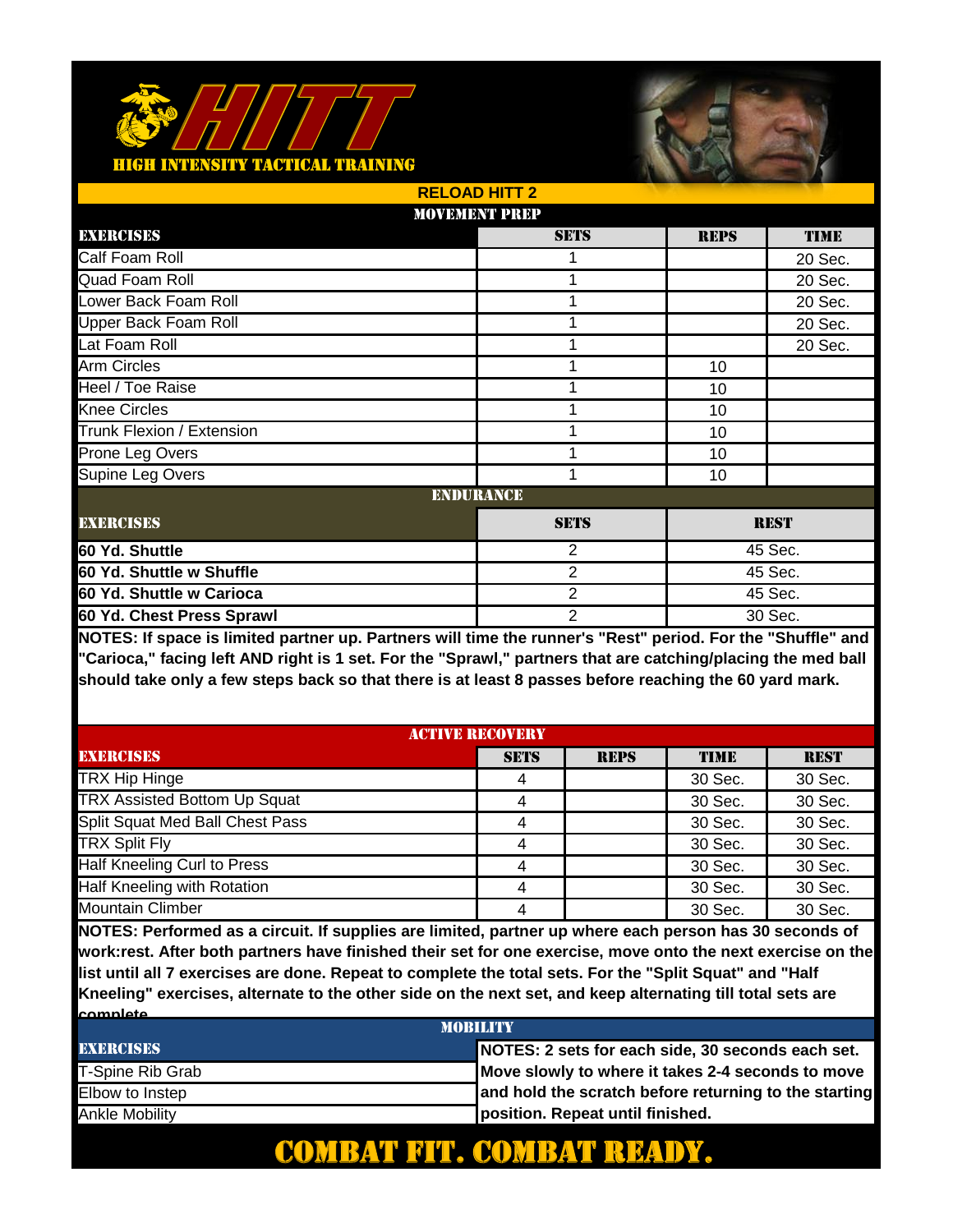

|                             | <b>RELOAD HITT 2</b> |                |             |             |  |
|-----------------------------|----------------------|----------------|-------------|-------------|--|
|                             | <b>MOVEMENT PREP</b> |                |             |             |  |
| EXERCISES                   |                      | <b>SETS</b>    | <b>REPS</b> | <b>TIME</b> |  |
| Calf Foam Roll              |                      |                |             | 20 Sec.     |  |
| Quad Foam Roll              |                      | 1              |             | 20 Sec.     |  |
| Lower Back Foam Roll        |                      | 1              |             | 20 Sec.     |  |
| <b>Upper Back Foam Roll</b> |                      | 1              |             | 20 Sec.     |  |
| Lat Foam Roll               |                      | 1              |             | 20 Sec.     |  |
| Arm Circles                 |                      |                | 10          |             |  |
| Heel / Toe Raise            |                      | 1              | 10          |             |  |
| <b>Knee Circles</b>         |                      |                | 10          |             |  |
| Trunk Flexion / Extension   |                      | 1              | 10          |             |  |
| Prone Leg Overs             |                      | 1              | 10          |             |  |
| Supine Leg Overs            |                      | 1              | 10          |             |  |
|                             | <b>ENDURANCE</b>     |                |             |             |  |
| <b>EXERCISES</b>            |                      | <b>SETS</b>    | <b>REST</b> |             |  |
| 60 Yd. Shuttle              |                      | 2              |             | 45 Sec.     |  |
| 60 Yd. Shuttle w Shuffle    |                      | 2              | 45 Sec.     |             |  |
| 60 Yd. Shuttle w Carioca    |                      | $\overline{2}$ |             | 45 Sec.     |  |
| 60 Yd. Chest Press Sprawl   |                      | $\overline{2}$ | 30 Sec.     |             |  |

**NOTES: If space is limited partner up. Partners will time the runner's "Rest" period. For the "Shuffle" and "Carioca," facing left AND right is 1 set. For the "Sprawl," partners that are catching/placing the med ball should take only a few steps back so that there is at least 8 passes before reaching the 60 yard mark.**

| <b>ACTIVE RECOVERY</b>              |             |             |             |             |
|-------------------------------------|-------------|-------------|-------------|-------------|
| <b>EXERCISES</b>                    | <b>SETS</b> | <b>REPS</b> | <b>TIME</b> | <b>REST</b> |
| <b>TRX Hip Hinge</b>                | 4           |             | 30 Sec.     | 30 Sec.     |
| <b>TRX Assisted Bottom Up Squat</b> | 4           |             | 30 Sec.     | 30 Sec.     |
| Split Squat Med Ball Chest Pass     | 4           |             | 30 Sec.     | 30 Sec.     |
| <b>TRX Split Fly</b>                | 4           |             | 30 Sec.     | 30 Sec.     |
| Half Kneeling Curl to Press         | 4           |             | 30 Sec.     | 30 Sec.     |
| Half Kneeling with Rotation         | 4           |             | 30 Sec.     | 30 Sec.     |
| <b>Mountain Climber</b>             | 4           |             | 30 Sec.     | 30 Sec.     |

**NOTES: Performed as a circuit. If supplies are limited, partner up where each person has 30 seconds of work:rest. After both partners have finished their set for one exercise, move onto the next exercise on the list until all 7 exercises are done. Repeat to complete the total sets. For the "Split Squat" and "Half Kneeling" exercises, alternate to the other side on the next set, and keep alternating till total sets are complete.** 

| <b>MORILITY</b>  |                                                       |  |  |
|------------------|-------------------------------------------------------|--|--|
| <b>EXERCISES</b> | NOTES: 2 sets for each side, 30 seconds each set.     |  |  |
| T-Spine Rib Grab | Move slowly to where it takes 2-4 seconds to move     |  |  |
| Elbow to Instep  | and hold the scratch before returning to the starting |  |  |
| Ankle Mobility   | position. Repeat until finished.                      |  |  |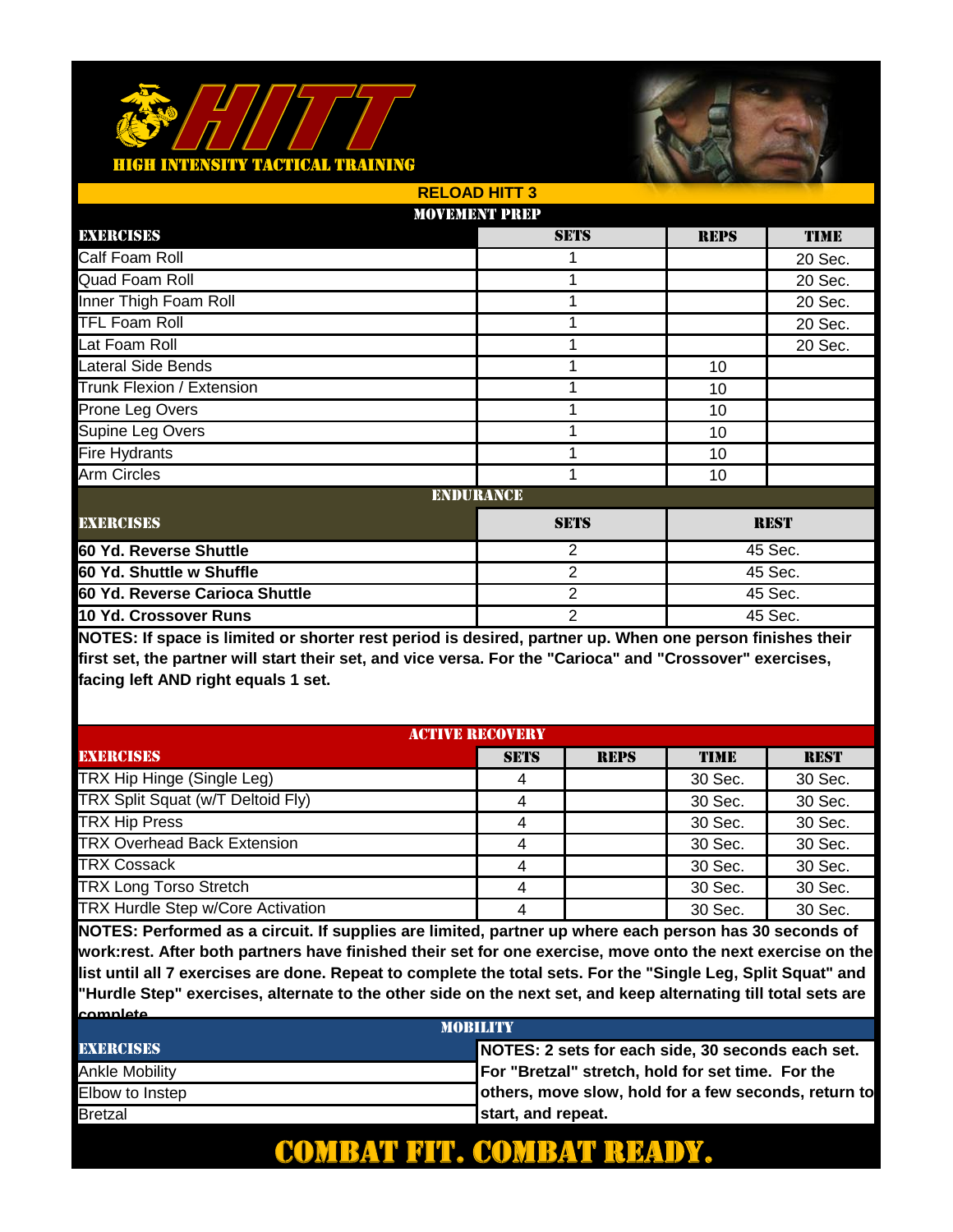

|                                | <b>RELOAD HITT 3</b> |                |             |             |  |
|--------------------------------|----------------------|----------------|-------------|-------------|--|
|                                | <b>MOVEMENT PREP</b> |                |             |             |  |
| EXERCISES                      |                      | <b>SETS</b>    | <b>REPS</b> | <b>TIME</b> |  |
| Calf Foam Roll                 |                      |                |             | 20 Sec.     |  |
| Quad Foam Roll                 |                      | 1              |             | 20 Sec.     |  |
| Inner Thigh Foam Roll          |                      | 1              |             | 20 Sec.     |  |
| <b>TFL Foam Roll</b>           |                      | 1              |             | 20 Sec.     |  |
| Lat Foam Roll                  |                      | 1              |             | 20 Sec.     |  |
| Lateral Side Bends             |                      |                | 10          |             |  |
| Trunk Flexion / Extension      |                      | 1              | 10          |             |  |
| Prone Leg Overs                |                      | 1              | 10          |             |  |
| Supine Leg Overs               |                      | 1              | 10          |             |  |
| <b>Fire Hydrants</b>           |                      | 1              | 10          |             |  |
| <b>Arm Circles</b>             |                      | 1              | 10          |             |  |
|                                | <b>ENDURANCE</b>     |                |             |             |  |
| <b>EXERCISES</b>               |                      | <b>SETS</b>    | <b>REST</b> |             |  |
| 60 Yd. Reverse Shuttle         |                      | $\overline{2}$ |             | 45 Sec.     |  |
| 60 Yd. Shuttle w Shuffle       |                      | 2              | 45 Sec.     |             |  |
| 60 Yd. Reverse Carioca Shuttle |                      | $\overline{2}$ |             | 45 Sec.     |  |
| 10 Yd. Crossover Runs          |                      | $\overline{2}$ | 45 Sec.     |             |  |

**NOTES: If space is limited or shorter rest period is desired, partner up. When one person finishes their first set, the partner will start their set, and vice versa. For the "Carioca" and "Crossover" exercises, facing left AND right equals 1 set.** 

| <b>ACTIVE RECOVERY</b>             |             |             |         |             |
|------------------------------------|-------------|-------------|---------|-------------|
| <b>EXERCISES</b>                   | <b>SETS</b> | <b>REPS</b> | TIME    | <b>REST</b> |
| TRX Hip Hinge (Single Leg)         | 4           |             | 30 Sec. | 30 Sec.     |
| TRX Split Squat (w/T Deltoid Fly)  |             |             | 30 Sec. | 30 Sec.     |
| <b>TRX Hip Press</b>               | 4           |             | 30 Sec. | 30 Sec.     |
| <b>TRX Overhead Back Extension</b> | 4           |             | 30 Sec. | 30 Sec.     |
| <b>TRX Cossack</b>                 |             |             | 30 Sec. | 30 Sec.     |
| <b>TRX Long Torso Stretch</b>      |             |             | 30 Sec. | 30 Sec.     |
| TRX Hurdle Step w/Core Activation  |             |             | 30 Sec. | 30 Sec.     |

**NOTES: Performed as a circuit. If supplies are limited, partner up where each person has 30 seconds of work:rest. After both partners have finished their set for one exercise, move onto the next exercise on the list until all 7 exercises are done. Repeat to complete the total sets. For the "Single Leg, Split Squat" and "Hurdle Step" exercises, alternate to the other side on the next set, and keep alternating till total sets are complete.** 

| <b>MORILITY</b>  |                                                      |  |  |
|------------------|------------------------------------------------------|--|--|
| <b>EXERCISES</b> | NOTES: 2 sets for each side, 30 seconds each set.    |  |  |
| Ankle Mobility   | For "Bretzal" stretch, hold for set time. For the    |  |  |
| Elbow to Instep  | others, move slow, hold for a few seconds, return to |  |  |
| <b>Bretzal</b>   | start, and repeat.                                   |  |  |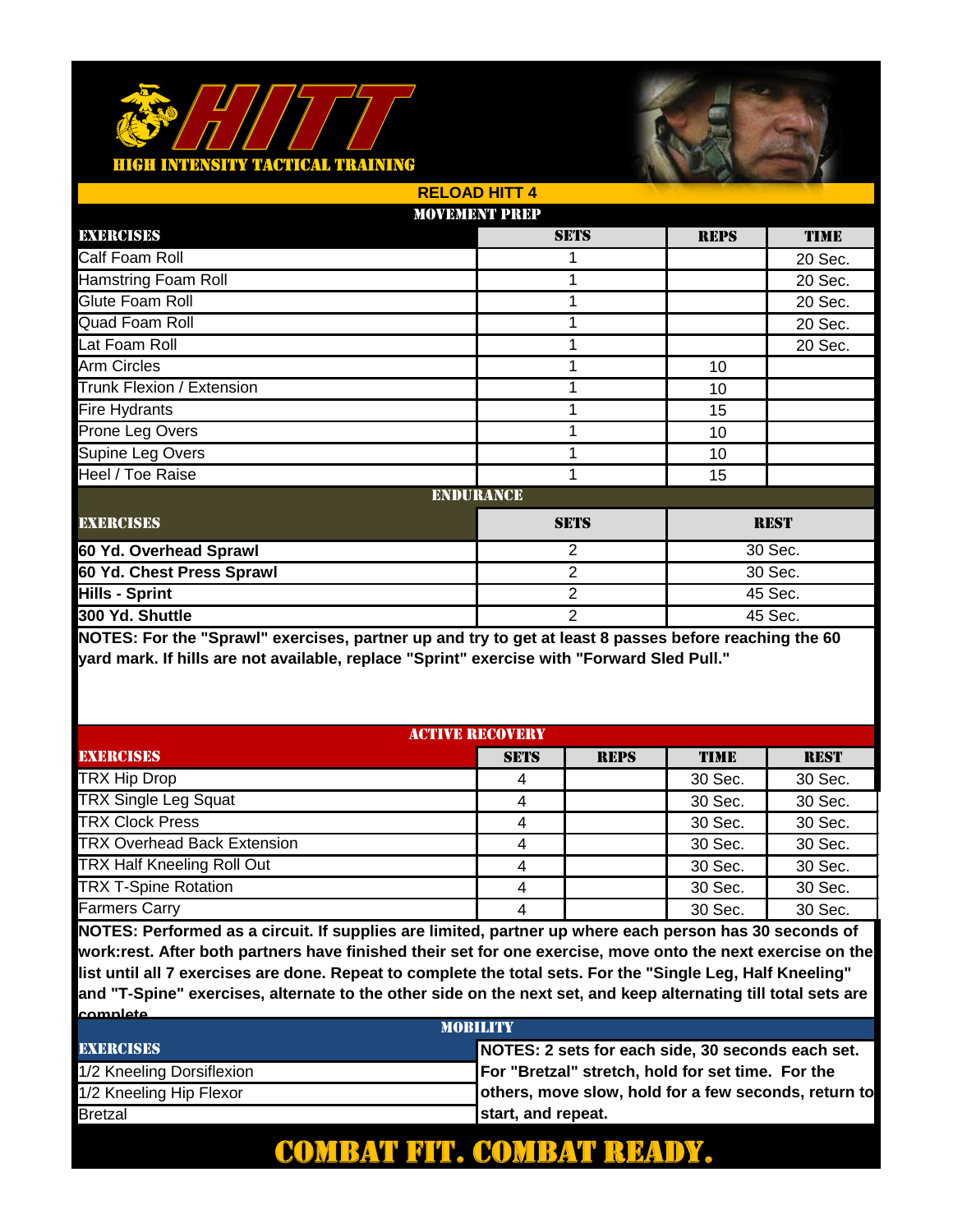## <u> FACTICAL TRAINING</u>



|                            | <b>RELOAD HITT 4</b> |                |             |             |  |
|----------------------------|----------------------|----------------|-------------|-------------|--|
|                            | <b>MOVEMENT PREP</b> |                |             |             |  |
| EXERCISES                  |                      | <b>SETS</b>    | <b>REPS</b> | <b>TIME</b> |  |
| Calf Foam Roll             |                      |                |             | 20 Sec.     |  |
| <b>Hamstring Foam Roll</b> |                      | 1              |             | 20 Sec.     |  |
| Glute Foam Roll            |                      | 1              |             | 20 Sec.     |  |
| Quad Foam Roll             |                      | 1              |             | 20 Sec.     |  |
| Lat Foam Roll              |                      | 1              |             | 20 Sec.     |  |
| <b>Arm Circles</b>         |                      |                | 10          |             |  |
| Trunk Flexion / Extension  |                      | 1              | 10          |             |  |
| Fire Hydrants              |                      | 1              | 15          |             |  |
| Prone Leg Overs            |                      | 1              | 10          |             |  |
| Supine Leg Overs           |                      | 1              | 10          |             |  |
| Heel / Toe Raise           |                      | 1              | 15          |             |  |
|                            | <b>ENDURANCE</b>     |                |             |             |  |
| <b>EXERCISES</b>           |                      | <b>SETS</b>    | <b>REST</b> |             |  |
| 60 Yd. Overhead Sprawl     |                      | $\overline{2}$ |             | 30 Sec.     |  |
| 60 Yd. Chest Press Sprawl  |                      | 2              |             | 30 Sec.     |  |
| <b>Hills - Sprint</b>      |                      | $\overline{2}$ |             | 45 Sec.     |  |
| 300 Yd. Shuttle            |                      | $\overline{2}$ | 45 Sec.     |             |  |

**NOTES: For the "Sprawl" exercises, partner up and try to get at least 8 passes before reaching the 60 yard mark. If hills are not available, replace "Sprint" exercise with "Forward Sled Pull."** 

| <b>ACTIVE RECOVERY</b>             |             |             |             |             |
|------------------------------------|-------------|-------------|-------------|-------------|
| <b>EXERCISES</b>                   | <b>SETS</b> | <b>REPS</b> | <b>TIME</b> | <b>REST</b> |
| <b>TRX Hip Drop</b>                | 4           |             | 30 Sec.     | 30 Sec.     |
| <b>TRX Single Leg Squat</b>        |             |             | 30 Sec.     | 30 Sec.     |
| <b>TRX Clock Press</b>             |             |             | 30 Sec.     | 30 Sec.     |
| <b>TRX Overhead Back Extension</b> | 4           |             | 30 Sec.     | 30 Sec.     |
| <b>TRX Half Kneeling Roll Out</b>  | 4           |             | 30 Sec.     | 30 Sec.     |
| <b>TRX T-Spine Rotation</b>        | 4           |             | 30 Sec.     | 30 Sec.     |
| Farmers Carry                      | 4           |             | 30 Sec.     | 30 Sec.     |

**NOTES: Performed as a circuit. If supplies are limited, partner up where each person has 30 seconds of work:rest. After both partners have finished their set for one exercise, move onto the next exercise on the list until all 7 exercises are done. Repeat to complete the total sets. For the "Single Leg, Half Kneeling" and "T-Spine" exercises, alternate to the other side on the next set, and keep alternating till total sets are complete.** 

| <b>MORILITY</b>           |                                                      |  |  |
|---------------------------|------------------------------------------------------|--|--|
| <b>EXERCISES</b>          | NOTES: 2 sets for each side, 30 seconds each set.    |  |  |
| 1/2 Kneeling Dorsiflexion | For "Bretzal" stretch, hold for set time. For the    |  |  |
| 1/2 Kneeling Hip Flexor   | others, move slow, hold for a few seconds, return to |  |  |
| <b>Bretzal</b>            | start, and repeat.                                   |  |  |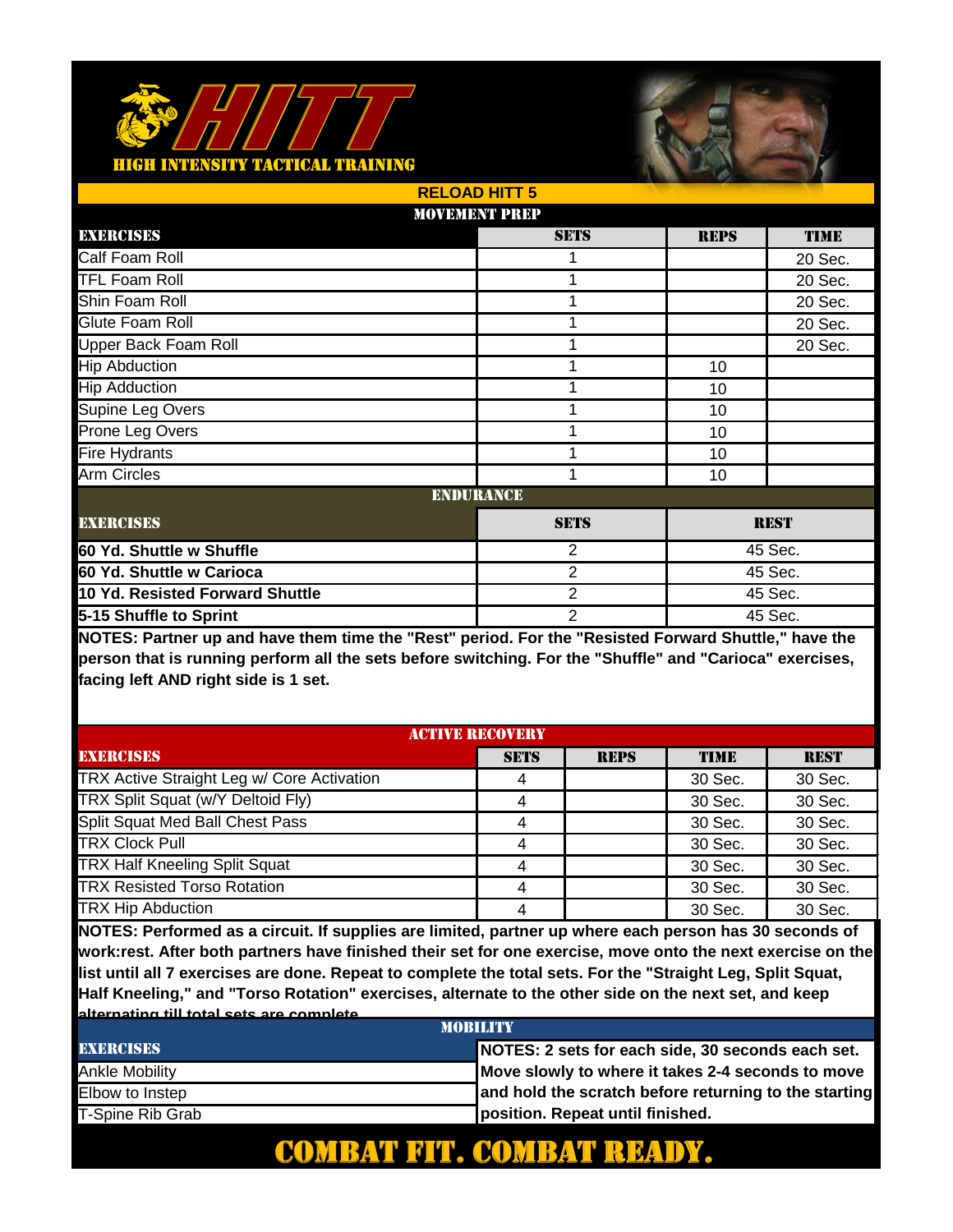# **ITY TACTICAL TRAINING**



|                                 | <b>RELOAD HITT 5</b> |                           |             |             |
|---------------------------------|----------------------|---------------------------|-------------|-------------|
|                                 | <b>MOVEMENT PREP</b> |                           |             |             |
| EXERCISES                       |                      | <b>SETS</b>               | <b>REPS</b> | <b>TIME</b> |
| Calf Foam Roll                  |                      |                           |             | 20 Sec.     |
| <b>TFL Foam Roll</b>            |                      | 1                         |             | 20 Sec.     |
| Shin Foam Roll                  |                      | 1                         |             | 20 Sec.     |
| Glute Foam Roll                 |                      | 1                         |             | 20 Sec.     |
| Upper Back Foam Roll            |                      | 1                         |             | 20 Sec.     |
| <b>Hip Abduction</b>            |                      |                           | 10          |             |
| <b>Hip Adduction</b>            |                      | 1                         | 10          |             |
| Supine Leg Overs                |                      | 1                         | 10          |             |
| Prone Leg Overs                 |                      | 1                         | 10          |             |
| <b>Fire Hydrants</b>            |                      | 1                         | 10          |             |
| <b>Arm Circles</b>              |                      | 1                         | 10          |             |
|                                 | <b>ENDURANCE</b>     |                           |             |             |
| <b>EXERCISES</b>                |                      | <b>SETS</b>               |             | <b>REST</b> |
| 60 Yd. Shuttle w Shuffle        |                      | $\overline{2}$            | 45 Sec.     |             |
| 60 Yd. Shuttle w Carioca        |                      | 2                         | 45 Sec.     |             |
| 10 Yd. Resisted Forward Shuttle |                      | $\overline{2}$            |             | 45 Sec.     |
| 5-15 Shuffle to Sprint          |                      | $\overline{2}$<br>45 Sec. |             |             |

**NOTES: Partner up and have them time the "Rest" period. For the "Resisted Forward Shuttle," have the person that is running perform all the sets before switching. For the "Shuffle" and "Carioca" exercises, facing left AND right side is 1 set.** 

| <b>ACTIVE RECOVERY</b>                     |             |             |         |             |
|--------------------------------------------|-------------|-------------|---------|-------------|
| <b>EXERCISES</b>                           | <b>SETS</b> | <b>REPS</b> | TIME    | <b>REST</b> |
| TRX Active Straight Leg w/ Core Activation |             |             | 30 Sec. | 30 Sec.     |
| TRX Split Squat (w/Y Deltoid Fly)          | 4           |             | 30 Sec. | 30 Sec.     |
| Split Squat Med Ball Chest Pass            | 4           |             | 30 Sec. | 30 Sec.     |
| <b>TRX Clock Pull</b>                      | 4           |             | 30 Sec. | 30 Sec.     |
| <b>TRX Half Kneeling Split Squat</b>       |             |             | 30 Sec. | 30 Sec.     |
| <b>TRX Resisted Torso Rotation</b>         | 4           |             | 30 Sec. | 30 Sec.     |
| <b>TRX Hip Abduction</b>                   | 4           |             | 30 Sec. | 30 Sec.     |

**NOTES: Performed as a circuit. If supplies are limited, partner up where each person has 30 seconds of work:rest. After both partners have finished their set for one exercise, move onto the next exercise on the list until all 7 exercises are done. Repeat to complete the total sets. For the "Straight Leg, Split Squat, Half Kneeling," and "Torso Rotation" exercises, alternate to the other side on the next set, and keep alternating till total sets are complete.** 

| <b>MORILITY</b>  |                                                       |  |
|------------------|-------------------------------------------------------|--|
| <b>EXERCISES</b> | NOTES: 2 sets for each side, 30 seconds each set.     |  |
| Ankle Mobility   | Move slowly to where it takes 2-4 seconds to move     |  |
| Elbow to Instep  | and hold the scratch before returning to the starting |  |
| T-Spine Rib Grab | position. Repeat until finished.                      |  |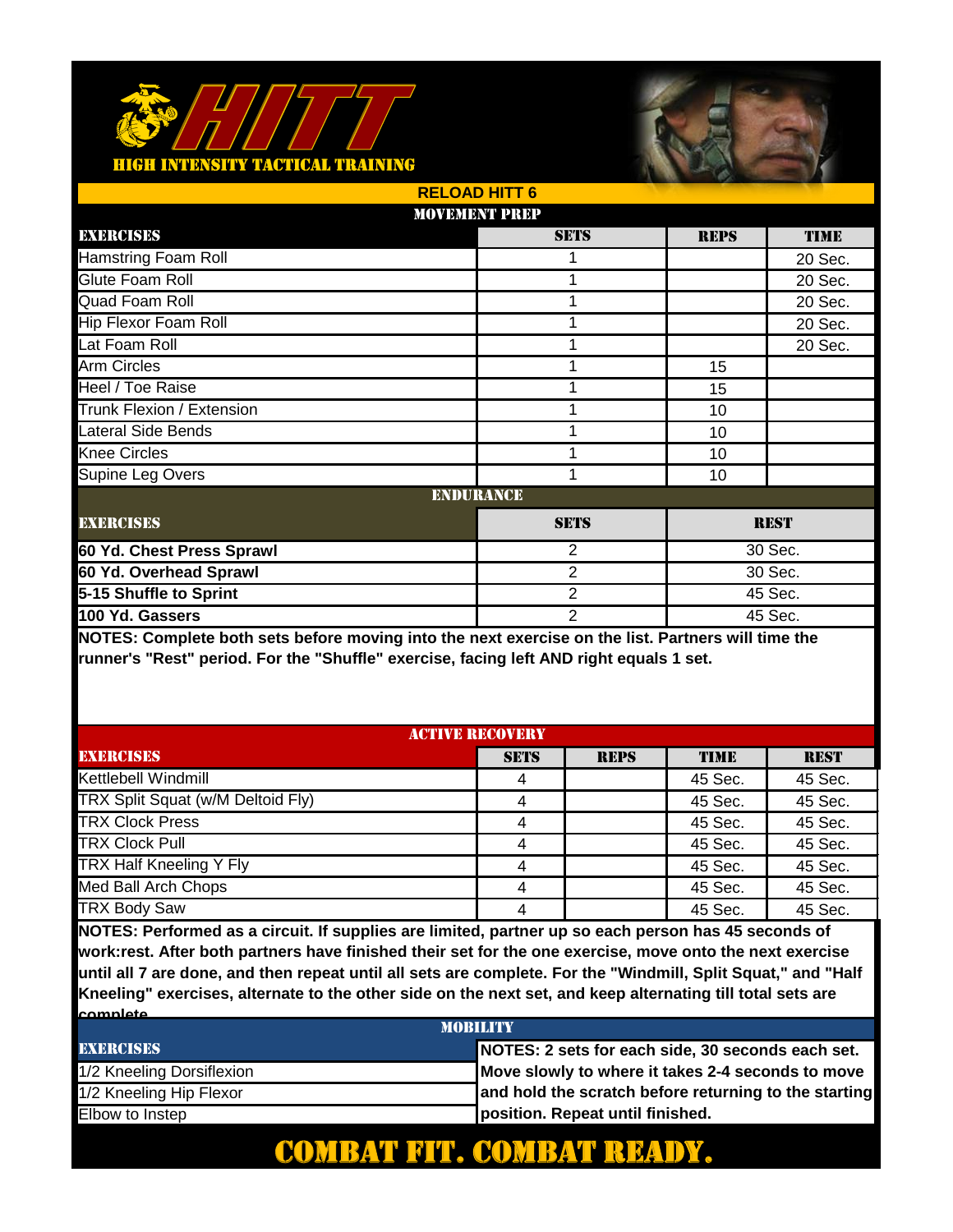

|                             | <b>RELOAD HITT 6</b> |             |             |
|-----------------------------|----------------------|-------------|-------------|
|                             | <b>MOVEMENT PREP</b> |             |             |
| EXERCISES                   | <b>SETS</b>          | <b>REPS</b> | <b>TIME</b> |
| <b>Hamstring Foam Roll</b>  |                      |             | 20 Sec.     |
| Glute Foam Roll             | 1                    |             | 20 Sec.     |
| Quad Foam Roll              | 1                    |             | 20 Sec.     |
| <b>Hip Flexor Foam Roll</b> | 1                    |             | 20 Sec.     |
| Lat Foam Roll               | 1                    |             | 20 Sec.     |
| Arm Circles                 |                      | 15          |             |
| Heel / Toe Raise            | 1                    | 15          |             |
| Trunk Flexion / Extension   | 1                    | 10          |             |
| Lateral Side Bends          | 1                    | 10          |             |
| <b>Knee Circles</b>         | 1                    | 10          |             |
| Supine Leg Overs            | 1                    | 10          |             |
|                             | <b>ENDURANCE</b>     |             |             |
| <b>EXERCISES</b>            | <b>SETS</b>          |             | <b>REST</b> |
| 60 Yd. Chest Press Sprawl   | 2                    | 30 Sec.     |             |
| 60 Yd. Overhead Sprawl      | $\overline{2}$       | 30 Sec.     |             |
| 5-15 Shuffle to Sprint      | $\overline{2}$       |             | 45 Sec.     |
| 100 Yd. Gassers             | $\overline{2}$       | 45 Sec.     |             |

**NOTES: Complete both sets before moving into the next exercise on the list. Partners will time the runner's "Rest" period. For the "Shuffle" exercise, facing left AND right equals 1 set.** 

| <b>ACTIVE RECOVERY</b>            |             |             |             |             |
|-----------------------------------|-------------|-------------|-------------|-------------|
| <b>EXERCISES</b>                  | <b>SETS</b> | <b>REPS</b> | <b>TIME</b> | <b>REST</b> |
| Kettlebell Windmill               |             |             | 45 Sec.     | 45 Sec.     |
| TRX Split Squat (w/M Deltoid Fly) |             |             | 45 Sec.     | 45 Sec.     |
| <b>TRX Clock Press</b>            |             |             | 45 Sec.     | 45 Sec.     |
| <b>TRX Clock Pull</b>             | 4           |             | 45 Sec.     | 45 Sec.     |
| TRX Half Kneeling Y Fly           |             |             | 45 Sec.     | 45 Sec.     |
| Med Ball Arch Chops               | 4           |             | 45 Sec.     | 45 Sec.     |
| <b>TRX Body Saw</b>               |             |             | 45 Sec.     | 45 Sec.     |

**NOTES: Performed as a circuit. If supplies are limited, partner up so each person has 45 seconds of work:rest. After both partners have finished their set for the one exercise, move onto the next exercise until all 7 are done, and then repeat until all sets are complete. For the "Windmill, Split Squat," and "Half Kneeling" exercises, alternate to the other side on the next set, and keep alternating till total sets are complete.** 

| <b>MORILITY</b>           |                                                       |  |  |
|---------------------------|-------------------------------------------------------|--|--|
| <b>EXERCISES</b>          | NOTES: 2 sets for each side, 30 seconds each set.     |  |  |
| 1/2 Kneeling Dorsiflexion | Move slowly to where it takes 2-4 seconds to move     |  |  |
| 1/2 Kneeling Hip Flexor   | and hold the scratch before returning to the starting |  |  |
| Elbow to Instep           | position. Repeat until finished.                      |  |  |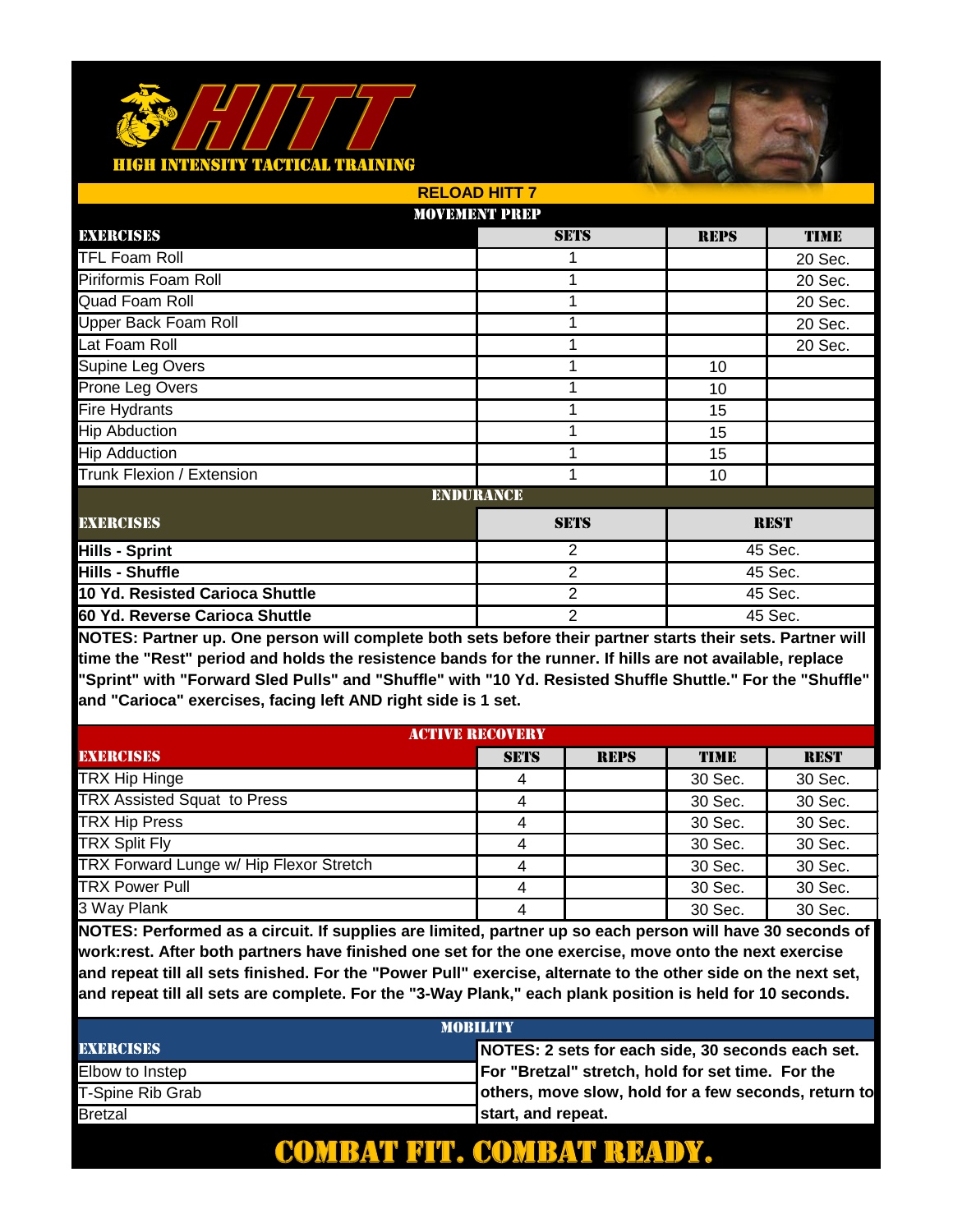#### **AINING** <u>ACTICAL TI</u>



|                                 | <b>RELOAD HITT 7</b> |                           |             |             |  |
|---------------------------------|----------------------|---------------------------|-------------|-------------|--|
|                                 | <b>MOVEMENT PREP</b> |                           |             |             |  |
| EXERCISES                       |                      | <b>SETS</b>               | <b>REPS</b> | <b>TIME</b> |  |
| <b>TFL Foam Roll</b>            |                      |                           |             | 20 Sec.     |  |
| Piriformis Foam Roll            |                      | 1                         |             | 20 Sec.     |  |
| Quad Foam Roll                  |                      | 1                         |             | 20 Sec.     |  |
| <b>Upper Back Foam Roll</b>     |                      | 1                         |             | 20 Sec.     |  |
| Lat Foam Roll                   |                      | 1                         |             | 20 Sec.     |  |
| Supine Leg Overs                |                      |                           | 10          |             |  |
| Prone Leg Overs                 |                      | 1                         | 10          |             |  |
| <b>Fire Hydrants</b>            |                      | 1                         | 15          |             |  |
| <b>Hip Abduction</b>            |                      | 1                         | 15          |             |  |
| <b>Hip Adduction</b>            |                      | 1                         | 15          |             |  |
| Trunk Flexion / Extension       |                      | 1                         | 10          |             |  |
|                                 | <b>ENDURANCE</b>     |                           |             |             |  |
| <b>EXERCISES</b>                |                      | <b>SETS</b>               |             | <b>REST</b> |  |
| <b>Hills - Sprint</b>           |                      | $\overline{2}$            |             | 45 Sec.     |  |
| <b>Hills - Shuffle</b>          |                      | 2                         |             | 45 Sec.     |  |
| 10 Yd. Resisted Carioca Shuttle |                      | $\overline{2}$            |             | 45 Sec.     |  |
| 60 Yd. Reverse Carioca Shuttle  |                      | $\overline{2}$<br>45 Sec. |             |             |  |

**NOTES: Partner up. One person will complete both sets before their partner starts their sets. Partner will time the "Rest" period and holds the resistence bands for the runner. If hills are not available, replace "Sprint" with "Forward Sled Pulls" and "Shuffle" with "10 Yd. Resisted Shuffle Shuttle." For the "Shuffle" and "Carioca" exercises, facing left AND right side is 1 set.** 

| <b>ACTIVE RECOVERY</b>                  |             |             |             |             |
|-----------------------------------------|-------------|-------------|-------------|-------------|
| <b>EXERCISES</b>                        | <b>SETS</b> | <b>REPS</b> | <b>TIME</b> | <b>REST</b> |
| TRX Hip Hinge                           | 4           |             | 30 Sec.     | 30 Sec.     |
| <b>TRX Assisted Squat to Press</b>      | 4           |             | 30 Sec.     | 30 Sec.     |
| <b>TRX Hip Press</b>                    | 4           |             | 30 Sec.     | 30 Sec.     |
| <b>TRX Split Fly</b>                    | 4           |             | 30 Sec.     | 30 Sec.     |
| TRX Forward Lunge w/ Hip Flexor Stretch | 4           |             | 30 Sec.     | 30 Sec.     |
| <b>TRX Power Pull</b>                   | 4           |             | 30 Sec.     | 30 Sec.     |
| 3 Way Plank                             | 4           |             | 30 Sec.     | 30 Sec.     |

**NOTES: Performed as a circuit. If supplies are limited, partner up so each person will have 30 seconds of work:rest. After both partners have finished one set for the one exercise, move onto the next exercise and repeat till all sets finished. For the "Power Pull" exercise, alternate to the other side on the next set, and repeat till all sets are complete. For the "3-Way Plank," each plank position is held for 10 seconds.** 

| <b>MORILITY</b>  |                                                      |  |  |
|------------------|------------------------------------------------------|--|--|
| <b>EXERCISES</b> | NOTES: 2 sets for each side, 30 seconds each set.    |  |  |
| Elbow to Instep  | For "Bretzal" stretch, hold for set time. For the    |  |  |
| T-Spine Rib Grab | others, move slow, hold for a few seconds, return to |  |  |
| <b>Bretzal</b>   | start, and repeat.                                   |  |  |

#### COMBAT FIT. COMBAT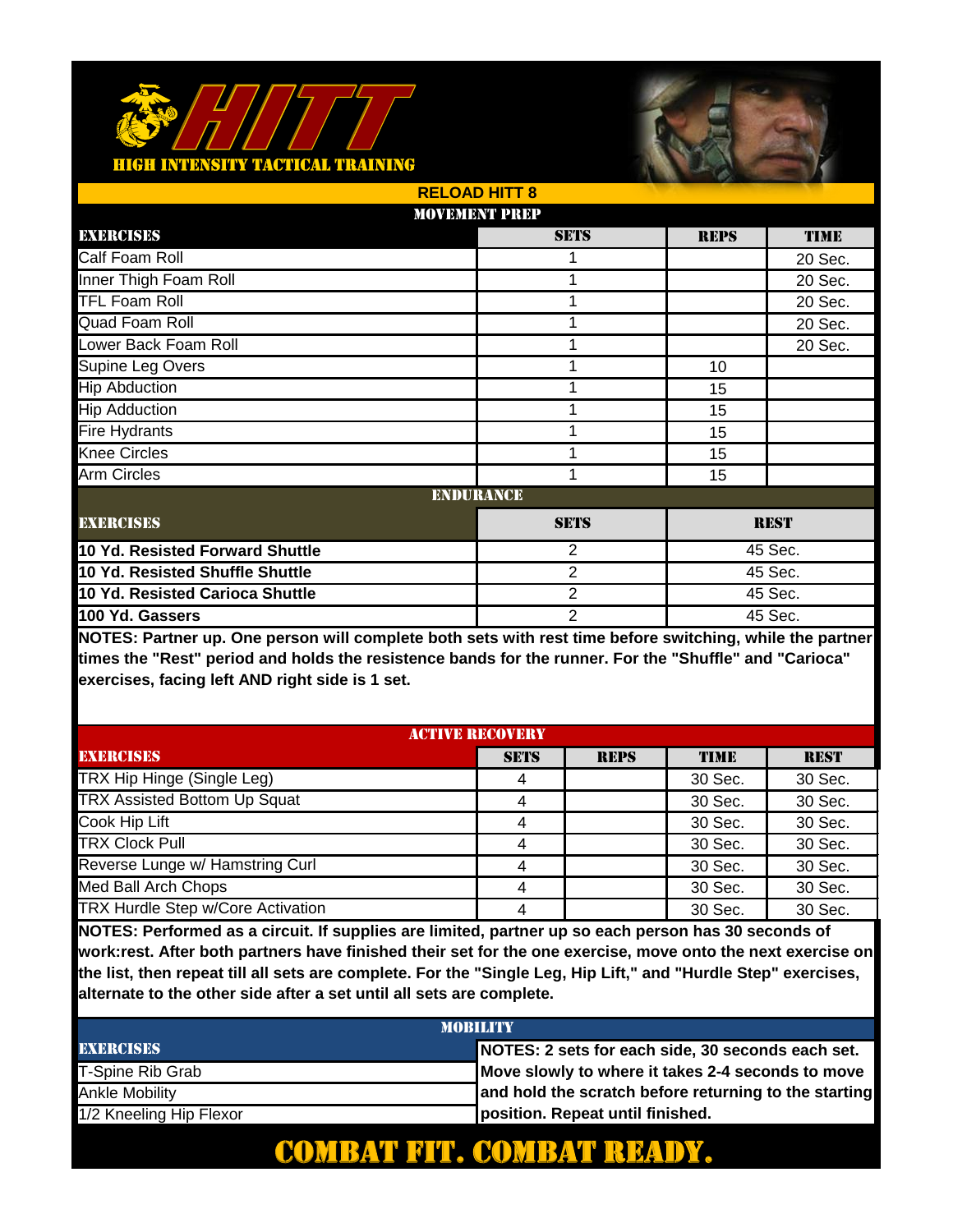

|                                 | <b>RELOAD HITT 8</b> |                           |             |             |  |
|---------------------------------|----------------------|---------------------------|-------------|-------------|--|
|                                 | <b>MOVEMENT PREP</b> |                           |             |             |  |
| EXERCISES                       |                      | <b>SETS</b>               | <b>REPS</b> | <b>TIME</b> |  |
| Calf Foam Roll                  |                      |                           |             | 20 Sec.     |  |
| Inner Thigh Foam Roll           |                      | 1                         |             | 20 Sec.     |  |
| <b>TFL Foam Roll</b>            |                      | 1                         |             | 20 Sec.     |  |
| Quad Foam Roll                  |                      | 1                         |             | 20 Sec.     |  |
| Lower Back Foam Roll            |                      | 1                         |             | 20 Sec.     |  |
| Supine Leg Overs                |                      |                           | 10          |             |  |
| <b>Hip Abduction</b>            |                      | 1                         | 15          |             |  |
| <b>Hip Adduction</b>            |                      |                           | 15          |             |  |
| <b>Fire Hydrants</b>            |                      | 1                         | 15          |             |  |
| <b>Knee Circles</b>             |                      | 1                         | 15          |             |  |
| <b>Arm Circles</b>              |                      | 1                         | 15          |             |  |
|                                 | <b>ENDURANCE</b>     |                           |             |             |  |
| <b>EXERCISES</b>                |                      | <b>SETS</b>               |             | <b>REST</b> |  |
| 10 Yd. Resisted Forward Shuttle |                      | 2                         |             | 45 Sec.     |  |
| 10 Yd. Resisted Shuffle Shuttle |                      | 2                         |             | 45 Sec.     |  |
| 10 Yd. Resisted Carioca Shuttle |                      | $\overline{2}$            |             | 45 Sec.     |  |
| 100 Yd. Gassers                 |                      | $\overline{2}$<br>45 Sec. |             |             |  |

**NOTES: Partner up. One person will complete both sets with rest time before switching, while the partner times the "Rest" period and holds the resistence bands for the runner. For the "Shuffle" and "Carioca" exercises, facing left AND right side is 1 set.** 

| <b>ACTIVE RECOVERY</b>              |             |             |             |             |
|-------------------------------------|-------------|-------------|-------------|-------------|
| <b>EXERCISES</b>                    | <b>SETS</b> | <b>REPS</b> | <b>TIME</b> | <b>REST</b> |
| TRX Hip Hinge (Single Leg)          | 4           |             | 30 Sec.     | 30 Sec.     |
| <b>TRX Assisted Bottom Up Squat</b> |             |             | 30 Sec.     | 30 Sec.     |
| Cook Hip Lift                       | 4           |             | 30 Sec.     | 30 Sec.     |
| <b>TRX Clock Pull</b>               | 4           |             | 30 Sec.     | 30 Sec.     |
| Reverse Lunge w/ Hamstring Curl     | 4           |             | 30 Sec.     | 30 Sec.     |
| Med Ball Arch Chops                 | 4           |             | 30 Sec.     | 30 Sec.     |
| TRX Hurdle Step w/Core Activation   |             |             | 30 Sec.     | 30 Sec.     |

**NOTES: Performed as a circuit. If supplies are limited, partner up so each person has 30 seconds of work:rest. After both partners have finished their set for the one exercise, move onto the next exercise on the list, then repeat till all sets are complete. For the "Single Leg, Hip Lift," and "Hurdle Step" exercises, alternate to the other side after a set until all sets are complete.** 

| <b>MOBILITY</b>         |                                                       |  |
|-------------------------|-------------------------------------------------------|--|
| <b>EXERCISES</b>        | NOTES: 2 sets for each side, 30 seconds each set.     |  |
| T-Spine Rib Grab        | Move slowly to where it takes 2-4 seconds to move     |  |
| Ankle Mobilitv          | and hold the scratch before returning to the starting |  |
| 1/2 Kneeling Hip Flexor | position. Repeat until finished.                      |  |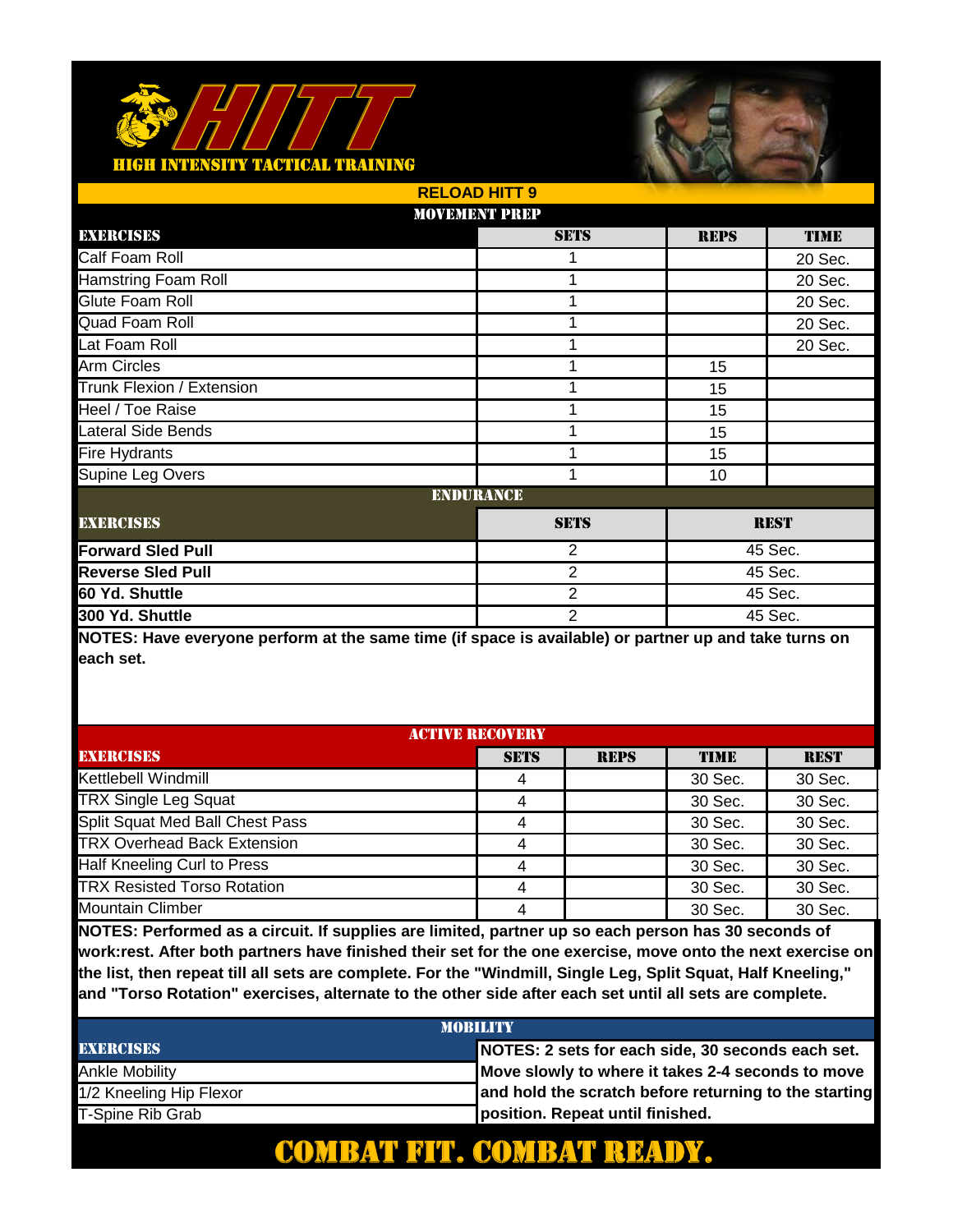

|                            | <b>RELOAD HITT 9</b> |                |             |             |  |
|----------------------------|----------------------|----------------|-------------|-------------|--|
|                            | <b>MOVEMENT PREP</b> |                |             |             |  |
| EXERCISES                  |                      | <b>SETS</b>    | <b>REPS</b> | <b>TIME</b> |  |
| Calf Foam Roll             |                      |                |             | 20 Sec.     |  |
| <b>Hamstring Foam Roll</b> |                      | 1              |             | 20 Sec.     |  |
| Glute Foam Roll            |                      | 1              |             | 20 Sec.     |  |
| Quad Foam Roll             |                      | 1              |             | 20 Sec.     |  |
| Lat Foam Roll              |                      | 1              |             | 20 Sec.     |  |
| Arm Circles                |                      |                | 15          |             |  |
| Trunk Flexion / Extension  |                      | 1              | 15          |             |  |
| Heel / Toe Raise           |                      | 1              | 15          |             |  |
| <b>Lateral Side Bends</b>  |                      | 1              | 15          |             |  |
| Fire Hydrants              |                      | 1              | 15          |             |  |
| Supine Leg Overs           |                      | 1              | 10          |             |  |
|                            | <b>ENDURANCE</b>     |                |             |             |  |
| <b>EXERCISES</b>           |                      | <b>SETS</b>    |             | <b>REST</b> |  |
| <b>Forward Sled Pull</b>   |                      | $\overline{2}$ |             | 45 Sec.     |  |
| <b>Reverse Sled Pull</b>   |                      | $\overline{2}$ |             | 45 Sec.     |  |
| 60 Yd. Shuttle             |                      | $\overline{2}$ |             | 45 Sec.     |  |
| 300 Yd. Shuttle            |                      | $\overline{2}$ | 45 Sec.     |             |  |

**NOTES: Have everyone perform at the same time (if space is available) or partner up and take turns on each set.**

| <b>ACTIVE RECOVERY</b>             |             |             |         |             |
|------------------------------------|-------------|-------------|---------|-------------|
| <b>EXERCISES</b>                   | <b>SETS</b> | <b>REPS</b> | TIME    | <b>REST</b> |
| Kettlebell Windmill                |             |             | 30 Sec. | 30 Sec.     |
| <b>TRX Single Leg Squat</b>        |             |             | 30 Sec. | 30 Sec.     |
| Split Squat Med Ball Chest Pass    |             |             | 30 Sec. | 30 Sec.     |
| <b>TRX Overhead Back Extension</b> |             |             | 30 Sec. | 30 Sec.     |
| Half Kneeling Curl to Press        | 4           |             | 30 Sec. | 30 Sec.     |
| <b>TRX Resisted Torso Rotation</b> |             |             | 30 Sec. | 30 Sec.     |
| <b>Mountain Climber</b>            |             |             | 30 Sec. | 30 Sec.     |

**NOTES: Performed as a circuit. If supplies are limited, partner up so each person has 30 seconds of work:rest. After both partners have finished their set for the one exercise, move onto the next exercise on the list, then repeat till all sets are complete. For the "Windmill, Single Leg, Split Squat, Half Kneeling," and "Torso Rotation" exercises, alternate to the other side after each set until all sets are complete.** 

| <b>MOBILITY</b>         |                                                       |  |  |
|-------------------------|-------------------------------------------------------|--|--|
| <b>EXERCISES</b>        | NOTES: 2 sets for each side, 30 seconds each set.     |  |  |
| Ankle Mobility          | Move slowly to where it takes 2-4 seconds to move     |  |  |
| 1/2 Kneeling Hip Flexor | and hold the scratch before returning to the starting |  |  |
| T-Spine Rib Grab        | position. Repeat until finished.                      |  |  |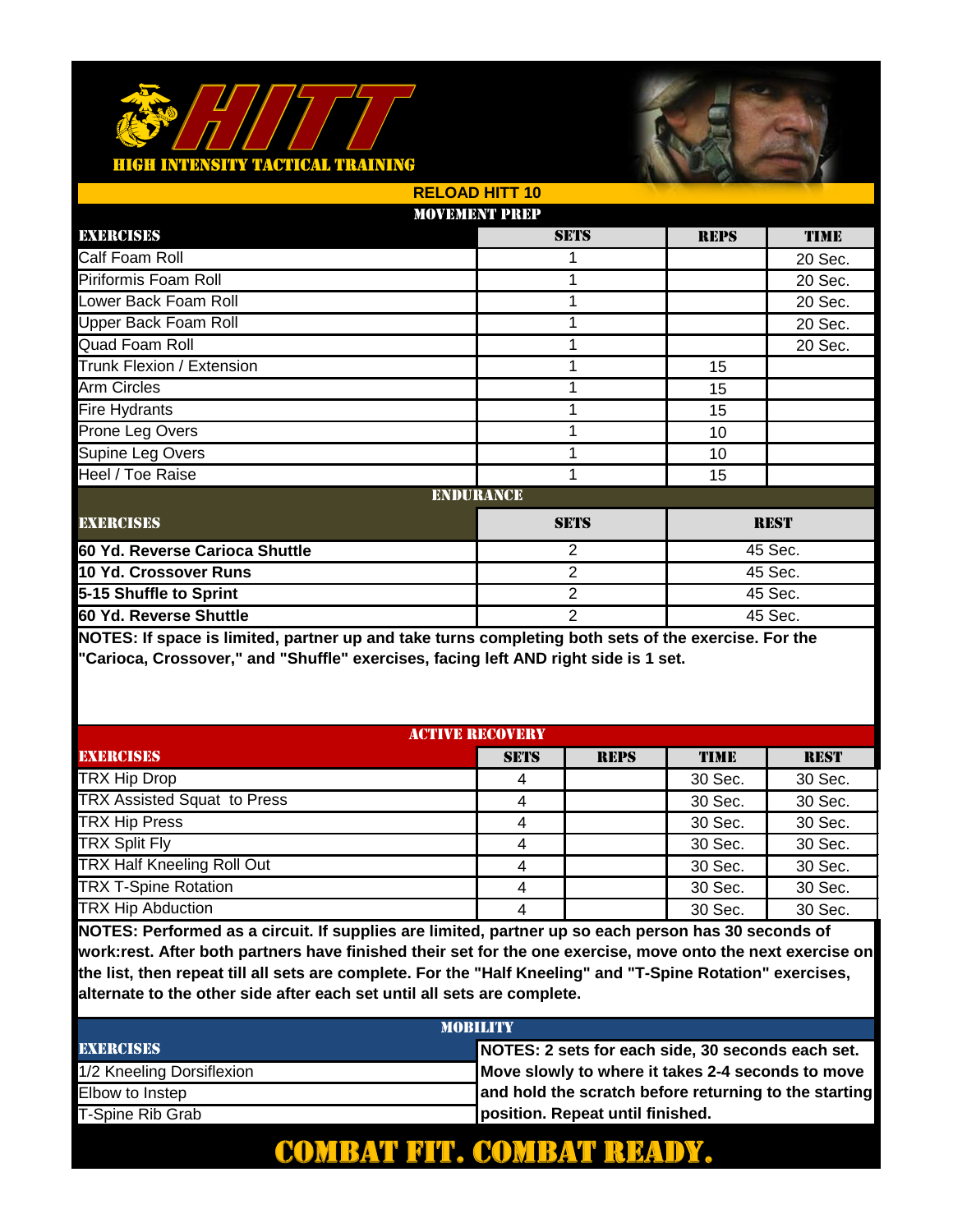

|                                | <b>RELOAD HITT 10</b> |                |             |             |
|--------------------------------|-----------------------|----------------|-------------|-------------|
|                                | <b>MOVEMENT PREP</b>  |                |             |             |
| EXERCISES                      |                       | <b>SETS</b>    | <b>REPS</b> | <b>TIME</b> |
| Calf Foam Roll                 |                       |                |             | 20 Sec.     |
| Piriformis Foam Roll           |                       |                |             | 20 Sec.     |
| Lower Back Foam Roll           |                       | 1              |             | 20 Sec.     |
| Upper Back Foam Roll           |                       | 1              |             | 20 Sec.     |
| Quad Foam Roll                 |                       | 1              |             | 20 Sec.     |
| Trunk Flexion / Extension      |                       | 1              | 15          |             |
| <b>Arm Circles</b>             |                       | 1              | 15          |             |
| <b>Fire Hydrants</b>           |                       | 1              | 15          |             |
| Prone Leg Overs                |                       | 1              | 10          |             |
| Supine Leg Overs               |                       | 1              | 10          |             |
| Heel / Toe Raise               |                       | 1              | 15          |             |
|                                | <b>ENDURANCE</b>      |                |             |             |
| <b>EXERCISES</b>               |                       | <b>SETS</b>    |             | <b>REST</b> |
| 60 Yd. Reverse Carioca Shuttle |                       | 2              | 45 Sec.     |             |
| 10 Yd. Crossover Runs          |                       | $\overline{2}$ |             | 45 Sec.     |
| 5-15 Shuffle to Sprint         |                       | $\overline{2}$ |             | 45 Sec.     |
| 60 Yd. Reverse Shuttle         |                       | $\overline{2}$ | 45 Sec.     |             |

**NOTES: If space is limited, partner up and take turns completing both sets of the exercise. For the "Carioca, Crossover," and "Shuffle" exercises, facing left AND right side is 1 set.** 

| <b>ACTIVE RECOVERY</b>             |             |             |             |             |
|------------------------------------|-------------|-------------|-------------|-------------|
| <b>EXERCISES</b>                   | <b>SETS</b> | <b>REPS</b> | <b>TIME</b> | <b>REST</b> |
| <b>TRX Hip Drop</b>                |             |             | 30 Sec.     | 30 Sec.     |
| <b>TRX Assisted Squat to Press</b> | 4           |             | 30 Sec.     | 30 Sec.     |
| <b>TRX Hip Press</b>               | 4           |             | 30 Sec.     | 30 Sec.     |
| <b>TRX Split Fly</b>               | 4           |             | 30 Sec.     | 30 Sec.     |
| <b>TRX Half Kneeling Roll Out</b>  | 4           |             | 30 Sec.     | 30 Sec.     |
| <b>TRX T-Spine Rotation</b>        | 4           |             | 30 Sec.     | 30 Sec.     |
| <b>TRX Hip Abduction</b>           | 4           |             | 30 Sec.     | 30 Sec.     |

**NOTES: Performed as a circuit. If supplies are limited, partner up so each person has 30 seconds of work:rest. After both partners have finished their set for the one exercise, move onto the next exercise on the list, then repeat till all sets are complete. For the "Half Kneeling" and "T-Spine Rotation" exercises, alternate to the other side after each set until all sets are complete.** 

| <b>MOBILITY</b>           |                                                       |  |  |
|---------------------------|-------------------------------------------------------|--|--|
| <b>EXERCISES</b>          | NOTES: 2 sets for each side, 30 seconds each set.     |  |  |
| 1/2 Kneeling Dorsiflexion | Move slowly to where it takes 2-4 seconds to move     |  |  |
| Elbow to Instep           | and hold the scratch before returning to the starting |  |  |
| T-Spine Rib Grab          | position. Repeat until finished.                      |  |  |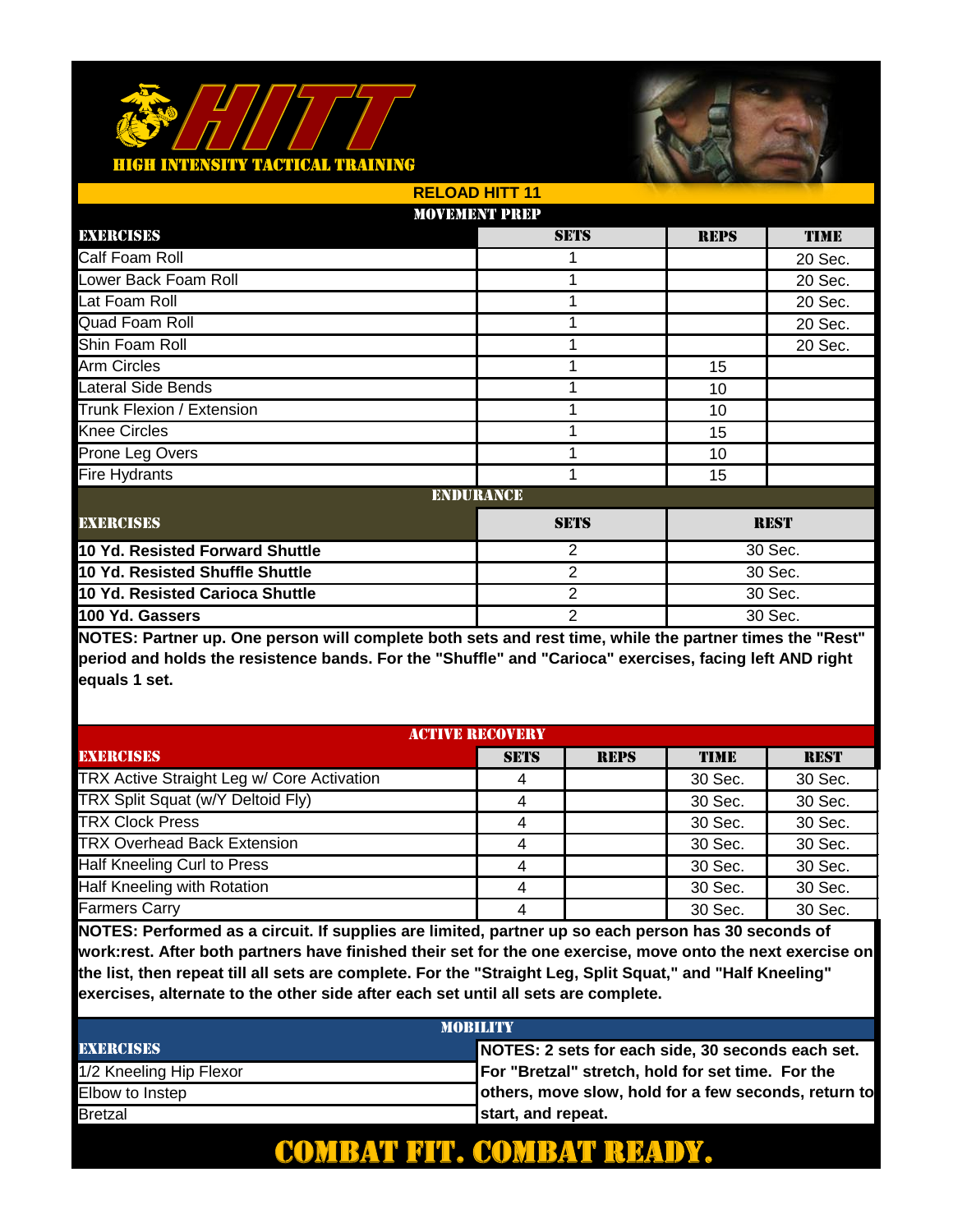

|                                 | <b>RELOAD HITT 11</b> |                |             |             |
|---------------------------------|-----------------------|----------------|-------------|-------------|
|                                 | <b>MOVEMENT PREP</b>  |                |             |             |
| EXERCISES                       |                       | <b>SETS</b>    | <b>REPS</b> | <b>TIME</b> |
| Calf Foam Roll                  |                       |                |             | 20 Sec.     |
| Lower Back Foam Roll            |                       | 1              |             | 20 Sec.     |
| Lat Foam Roll                   |                       | 1              |             | 20 Sec.     |
| Quad Foam Roll                  |                       | 1              |             | 20 Sec.     |
| Shin Foam Roll                  |                       | 1              |             | 20 Sec.     |
| Arm Circles                     |                       |                | 15          |             |
| <b>Lateral Side Bends</b>       |                       | 1              | 10          |             |
| Trunk Flexion / Extension       |                       |                | 10          |             |
| <b>Knee Circles</b>             |                       | 1              | 15          |             |
| Prone Leg Overs                 |                       | 1              | 10          |             |
| <b>Fire Hydrants</b>            |                       | 1              | 15          |             |
|                                 | <b>ENDURANCE</b>      |                |             |             |
| <b>EXERCISES</b>                |                       | <b>SETS</b>    |             | <b>REST</b> |
| 10 Yd. Resisted Forward Shuttle |                       | 2              |             | 30 Sec.     |
| 10 Yd. Resisted Shuffle Shuttle |                       | 2              | 30 Sec.     |             |
| 10 Yd. Resisted Carioca Shuttle |                       | $\overline{2}$ |             | 30 Sec.     |
| 100 Yd. Gassers                 |                       | $\overline{2}$ |             | 30 Sec.     |

**NOTES: Partner up. One person will complete both sets and rest time, while the partner times the "Rest" period and holds the resistence bands. For the "Shuffle" and "Carioca" exercises, facing left AND right equals 1 set.** 

| <b>ACTIVE RECOVERY</b>                     |             |             |         |             |
|--------------------------------------------|-------------|-------------|---------|-------------|
| <b>EXERCISES</b>                           | <b>SETS</b> | <b>REPS</b> | TIME    | <b>REST</b> |
| TRX Active Straight Leg w/ Core Activation |             |             | 30 Sec. | 30 Sec.     |
| TRX Split Squat (w/Y Deltoid Fly)          |             |             | 30 Sec. | 30 Sec.     |
| <b>TRX Clock Press</b>                     | 4           |             | 30 Sec. | 30 Sec.     |
| <b>TRX Overhead Back Extension</b>         | 4           |             | 30 Sec. | 30 Sec.     |
| Half Kneeling Curl to Press                | 4           |             | 30 Sec. | 30 Sec.     |
| Half Kneeling with Rotation                | Λ           |             | 30 Sec. | 30 Sec.     |
| <b>Farmers Carry</b>                       |             |             | 30 Sec. | 30 Sec.     |

**NOTES: Performed as a circuit. If supplies are limited, partner up so each person has 30 seconds of work:rest. After both partners have finished their set for the one exercise, move onto the next exercise on the list, then repeat till all sets are complete. For the "Straight Leg, Split Squat," and "Half Kneeling" exercises, alternate to the other side after each set until all sets are complete.** 

| <b>MOBILITY</b>         |                                                      |  |  |  |
|-------------------------|------------------------------------------------------|--|--|--|
| <b>EXERCISES</b>        | NOTES: 2 sets for each side, 30 seconds each set.    |  |  |  |
| 1/2 Kneeling Hip Flexor | For "Bretzal" stretch, hold for set time. For the    |  |  |  |
| Elbow to Instep         | others, move slow, hold for a few seconds, return to |  |  |  |
| <b>Bretzal</b>          | start, and repeat.                                   |  |  |  |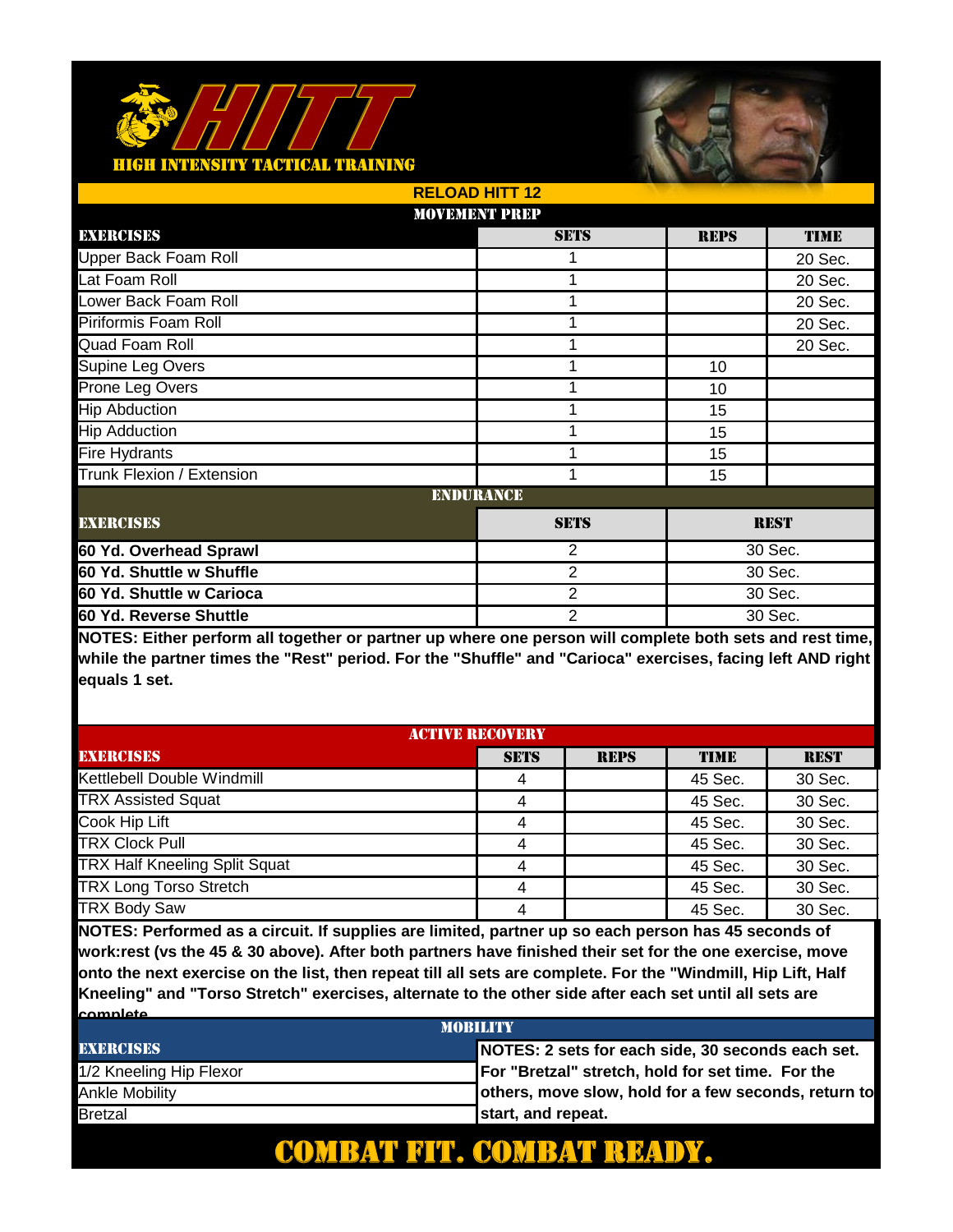

|                             | <b>RELOAD HITT 12</b> |                |             |             |  |
|-----------------------------|-----------------------|----------------|-------------|-------------|--|
|                             | <b>MOVEMENT PREP</b>  |                |             |             |  |
| EXERCISES                   |                       | <b>SETS</b>    | <b>REPS</b> | <b>TIME</b> |  |
| <b>Upper Back Foam Roll</b> |                       |                |             | 20 Sec.     |  |
| Lat Foam Roll               |                       | 1              |             | 20 Sec.     |  |
| Lower Back Foam Roll        |                       | 1              |             | 20 Sec.     |  |
| Piriformis Foam Roll        |                       | 1              |             | 20 Sec.     |  |
| Quad Foam Roll              |                       | 1              |             | 20 Sec.     |  |
| Supine Leg Overs            |                       |                | 10          |             |  |
| Prone Leg Overs             |                       | 1              | 10          |             |  |
| <b>Hip Abduction</b>        |                       | 1              | 15          |             |  |
| <b>Hip Adduction</b>        |                       | 1              | 15          |             |  |
| <b>Fire Hydrants</b>        |                       | 1              | 15          |             |  |
| Trunk Flexion / Extension   |                       | 1              | 15          |             |  |
|                             | <b>ENDURANCE</b>      |                |             |             |  |
| <b>EXERCISES</b>            |                       | <b>SETS</b>    |             | <b>REST</b> |  |
| 60 Yd. Overhead Sprawl      |                       | $\overline{2}$ |             | 30 Sec.     |  |
| 60 Yd. Shuttle w Shuffle    |                       | 2              | 30 Sec.     |             |  |
| 60 Yd. Shuttle w Carioca    |                       | $\overline{2}$ |             | 30 Sec.     |  |
| 60 Yd. Reverse Shuttle      |                       | $\overline{2}$ | 30 Sec.     |             |  |

**NOTES: Either perform all together or partner up where one person will complete both sets and rest time, while the partner times the "Rest" period. For the "Shuffle" and "Carioca" exercises, facing left AND right equals 1 set.** 

| <b>ACTIVE RECOVERY</b>               |             |             |             |             |
|--------------------------------------|-------------|-------------|-------------|-------------|
| <b>EXERCISES</b>                     | <b>SETS</b> | <b>REPS</b> | <b>TIME</b> | <b>REST</b> |
| Kettlebell Double Windmill           | 4           |             | 45 Sec.     | 30 Sec.     |
| <b>TRX Assisted Squat</b>            |             |             | 45 Sec.     | 30 Sec.     |
| Cook Hip Lift                        | 4           |             | 45 Sec.     | 30 Sec.     |
| <b>TRX Clock Pull</b>                | 4           |             | 45 Sec.     | 30 Sec.     |
| <b>TRX Half Kneeling Split Squat</b> | 4           |             | 45 Sec.     | 30 Sec.     |
| <b>TRX Long Torso Stretch</b>        | 4           |             | 45 Sec.     | 30 Sec.     |
| <b>TRX Body Saw</b>                  | 4           |             | 45 Sec.     | 30 Sec.     |

**NOTES: Performed as a circuit. If supplies are limited, partner up so each person has 45 seconds of work:rest (vs the 45 & 30 above). After both partners have finished their set for the one exercise, move onto the next exercise on the list, then repeat till all sets are complete. For the "Windmill, Hip Lift, Half Kneeling" and "Torso Stretch" exercises, alternate to the other side after each set until all sets are complete.** 

| <b>MORILITY</b>         |                                                      |  |  |  |
|-------------------------|------------------------------------------------------|--|--|--|
| <b>EXERCISES</b>        | NOTES: 2 sets for each side, 30 seconds each set.    |  |  |  |
| 1/2 Kneeling Hip Flexor | For "Bretzal" stretch, hold for set time. For the    |  |  |  |
| Ankle Mobilitv          | others, move slow, hold for a few seconds, return to |  |  |  |
| <b>Bretzal</b>          | start, and repeat.                                   |  |  |  |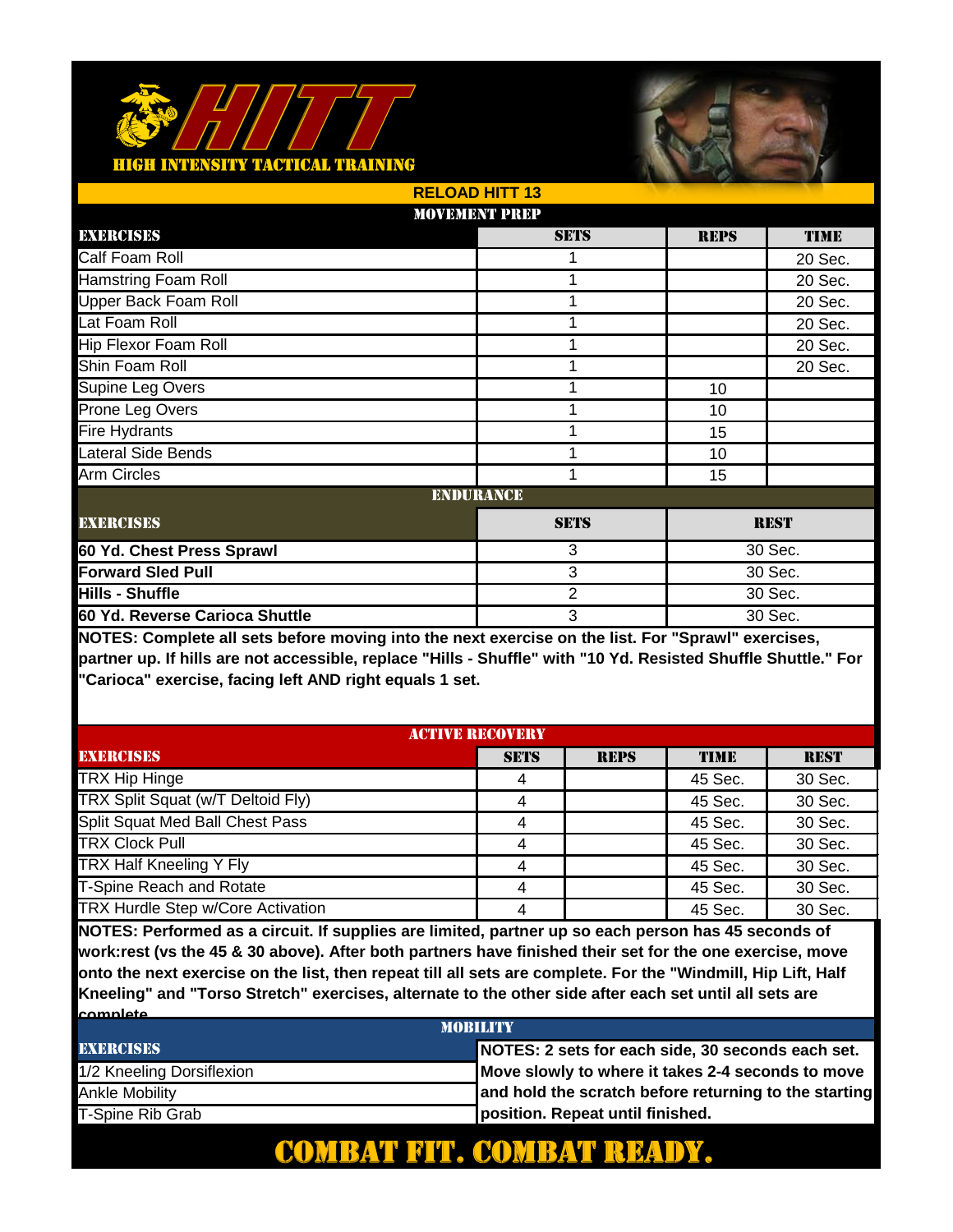

|                                | <b>RELOAD HITT 13</b> |                |             |             |  |
|--------------------------------|-----------------------|----------------|-------------|-------------|--|
|                                | <b>MOVEMENT PREP</b>  |                |             |             |  |
| EXERCISES                      |                       | <b>SETS</b>    | <b>REPS</b> | <b>TIME</b> |  |
| Calf Foam Roll                 |                       |                |             | 20 Sec.     |  |
| <b>Hamstring Foam Roll</b>     |                       | 1              |             | 20 Sec.     |  |
| <b>Upper Back Foam Roll</b>    |                       | 1              |             | 20 Sec.     |  |
| Lat Foam Roll                  |                       | 1              |             | 20 Sec.     |  |
| Hip Flexor Foam Roll           |                       | 1              |             | 20 Sec.     |  |
| Shin Foam Roll                 |                       |                |             | 20 Sec.     |  |
| Supine Leg Overs               |                       | 1              | 10          |             |  |
| Prone Leg Overs                |                       | 1              | 10          |             |  |
| <b>Fire Hydrants</b>           |                       | 1              | 15          |             |  |
| Lateral Side Bends             |                       | 1              | 10          |             |  |
| <b>Arm Circles</b>             |                       | 1              | 15          |             |  |
|                                | <b>ENDURANCE</b>      |                |             |             |  |
| <b>EXERCISES</b>               |                       | <b>SETS</b>    |             | <b>REST</b> |  |
| 60 Yd. Chest Press Sprawl      |                       | 3              |             | 30 Sec.     |  |
| <b>Forward Sled Pull</b>       |                       | 3              | 30 Sec.     |             |  |
| Hills - Shuffle                |                       | $\overline{2}$ |             | 30 Sec.     |  |
| 60 Yd. Reverse Carioca Shuttle |                       | 3<br>30 Sec.   |             |             |  |

**NOTES: Complete all sets before moving into the next exercise on the list. For "Sprawl" exercises, partner up. If hills are not accessible, replace "Hills - Shuffle" with "10 Yd. Resisted Shuffle Shuttle." For "Carioca" exercise, facing left AND right equals 1 set.**

| <b>ACTIVE RECOVERY</b>            |             |             |             |             |
|-----------------------------------|-------------|-------------|-------------|-------------|
| <b>EXERCISES</b>                  | <b>SETS</b> | <b>REPS</b> | <b>TIME</b> | <b>REST</b> |
| <b>TRX Hip Hinge</b>              |             |             | 45 Sec.     | 30 Sec.     |
| TRX Split Squat (w/T Deltoid Fly) |             |             | 45 Sec.     | 30 Sec.     |
| Split Squat Med Ball Chest Pass   | 4           |             | 45 Sec.     | 30 Sec.     |
| <b>TRX Clock Pull</b>             | 4           |             | 45 Sec.     | 30 Sec.     |
| TRX Half Kneeling Y Fly           | 4           |             | 45 Sec.     | 30 Sec.     |
| <b>T-Spine Reach and Rotate</b>   | 4           |             | 45 Sec.     | 30 Sec.     |
| TRX Hurdle Step w/Core Activation | 4           |             | 45 Sec.     | 30 Sec.     |

**NOTES: Performed as a circuit. If supplies are limited, partner up so each person has 45 seconds of work:rest (vs the 45 & 30 above). After both partners have finished their set for the one exercise, move onto the next exercise on the list, then repeat till all sets are complete. For the "Windmill, Hip Lift, Half Kneeling" and "Torso Stretch" exercises, alternate to the other side after each set until all sets are complete.** 

| <b>MORILITY</b>           |                                                       |  |  |  |
|---------------------------|-------------------------------------------------------|--|--|--|
| <b>EXERCISES</b>          | NOTES: 2 sets for each side, 30 seconds each set.     |  |  |  |
| 1/2 Kneeling Dorsiflexion | Move slowly to where it takes 2-4 seconds to move     |  |  |  |
| Ankle Mobility            | and hold the scratch before returning to the starting |  |  |  |
| T-Spine Rib Grab          | position. Repeat until finished.                      |  |  |  |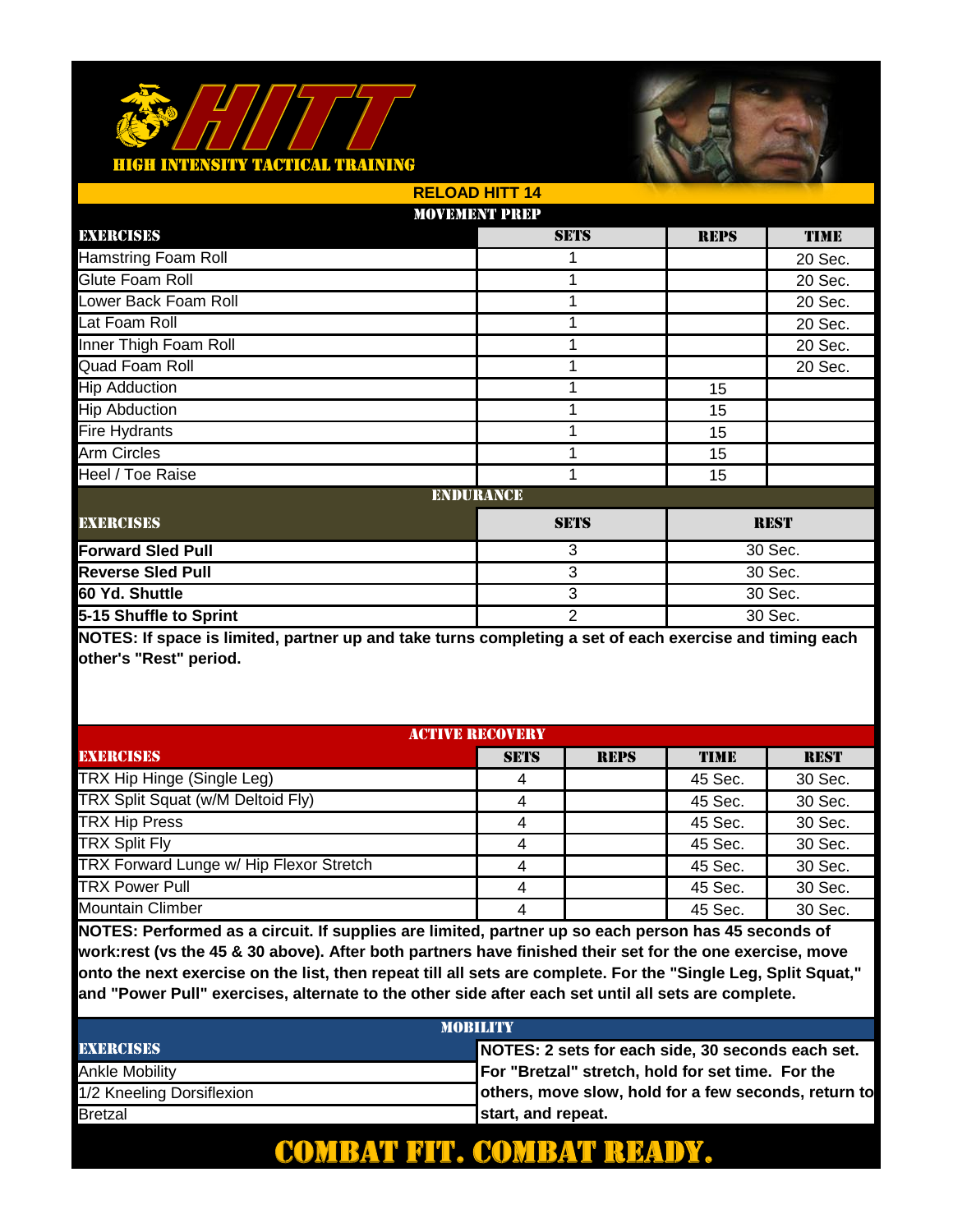

|                            | <b>RELOAD HITT 14</b> |                |             |             |  |
|----------------------------|-----------------------|----------------|-------------|-------------|--|
|                            | <b>MOVEMENT PREP</b>  |                |             |             |  |
| EXERCISES                  |                       | <b>SETS</b>    | <b>REPS</b> | <b>TIME</b> |  |
| <b>Hamstring Foam Roll</b> |                       |                |             | 20 Sec.     |  |
| Glute Foam Roll            |                       | 1              |             | 20 Sec.     |  |
| Lower Back Foam Roll       |                       | 1              |             | 20 Sec.     |  |
| Lat Foam Roll              |                       | 1              |             | 20 Sec.     |  |
| Inner Thigh Foam Roll      |                       | 1              |             | 20 Sec.     |  |
| Quad Foam Roll             |                       |                |             | 20 Sec.     |  |
| <b>Hip Adduction</b>       |                       | 1              | 15          |             |  |
| <b>Hip Abduction</b>       |                       | 1              | 15          |             |  |
| <b>Fire Hydrants</b>       |                       | 1              | 15          |             |  |
| Arm Circles                |                       | 1              | 15          |             |  |
| Heel / Toe Raise           |                       | 1              | 15          |             |  |
|                            | <b>ENDURANCE</b>      |                |             |             |  |
| <b>EXERCISES</b>           |                       | <b>SETS</b>    |             | <b>REST</b> |  |
| <b>Forward Sled Pull</b>   |                       | 3              | 30 Sec.     |             |  |
| <b>Reverse Sled Pull</b>   |                       | 3              | 30 Sec.     |             |  |
| 60 Yd. Shuttle             |                       | 3              |             | 30 Sec.     |  |
| 5-15 Shuffle to Sprint     |                       | $\overline{2}$ | 30 Sec.     |             |  |

**NOTES: If space is limited, partner up and take turns completing a set of each exercise and timing each other's "Rest" period.** 

| <b>ACTIVE RECOVERY</b>                  |             |             |             |             |
|-----------------------------------------|-------------|-------------|-------------|-------------|
| <b>EXERCISES</b>                        | <b>SETS</b> | <b>REPS</b> | <b>TIME</b> | <b>REST</b> |
| TRX Hip Hinge (Single Leg)              |             |             | 45 Sec.     | 30 Sec.     |
| TRX Split Squat (w/M Deltoid Fly)       |             |             | 45 Sec.     | 30 Sec.     |
| <b>TRX Hip Press</b>                    |             |             | 45 Sec.     | 30 Sec.     |
| <b>TRX Split Fly</b>                    | 4           |             | 45 Sec.     | 30 Sec.     |
| TRX Forward Lunge w/ Hip Flexor Stretch |             |             | 45 Sec.     | 30 Sec.     |
| <b>TRX Power Pull</b>                   |             |             | 45 Sec.     | 30 Sec.     |
| <b>Mountain Climber</b>                 |             |             | 45 Sec.     | 30 Sec.     |

**NOTES: Performed as a circuit. If supplies are limited, partner up so each person has 45 seconds of work:rest (vs the 45 & 30 above). After both partners have finished their set for the one exercise, move onto the next exercise on the list, then repeat till all sets are complete. For the "Single Leg, Split Squat," and "Power Pull" exercises, alternate to the other side after each set until all sets are complete.** 

| <b>MORILITY</b>           |                                                      |  |  |  |
|---------------------------|------------------------------------------------------|--|--|--|
| <b>EXERCISES</b>          | NOTES: 2 sets for each side, 30 seconds each set.    |  |  |  |
| Ankle Mobilitv            | For "Bretzal" stretch, hold for set time. For the    |  |  |  |
| 1/2 Kneeling Dorsiflexion | others, move slow, hold for a few seconds, return to |  |  |  |
| <b>Bretzal</b>            | start, and repeat.                                   |  |  |  |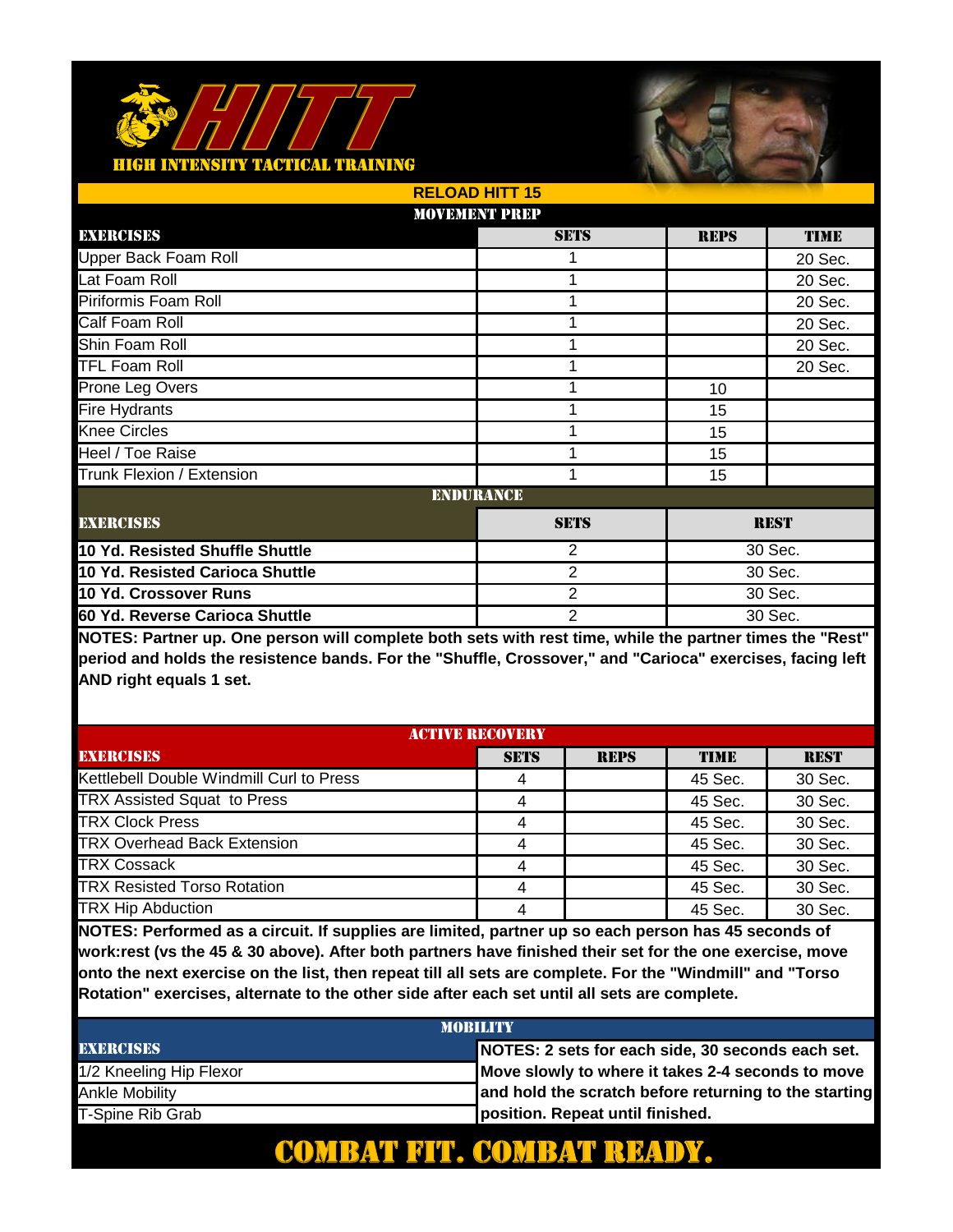

|                                 | <b>RELOAD HITT 15</b> |                |             |             |
|---------------------------------|-----------------------|----------------|-------------|-------------|
|                                 | <b>MOVEMENT PREP</b>  |                |             |             |
| EXERCISES                       |                       | <b>SETS</b>    | <b>REPS</b> | <b>TIME</b> |
| <b>Upper Back Foam Roll</b>     |                       |                |             | 20 Sec.     |
| Lat Foam Roll                   |                       | 1              |             | 20 Sec.     |
| Piriformis Foam Roll            |                       | 1              |             | 20 Sec.     |
| Calf Foam Roll                  |                       | 1              |             | 20 Sec.     |
| Shin Foam Roll                  |                       | 1              |             | 20 Sec.     |
| <b>TFL Foam Roll</b>            |                       |                |             | 20 Sec.     |
| Prone Leg Overs                 |                       | 1              | 10          |             |
| <b>Fire Hydrants</b>            |                       |                | 15          |             |
| <b>Knee Circles</b>             |                       |                | 15          |             |
| Heel / Toe Raise                |                       | 1              | 15          |             |
| Trunk Flexion / Extension       |                       | 1              | 15          |             |
|                                 | <b>ENDURANCE</b>      |                |             |             |
| <b>EXERCISES</b>                |                       | <b>SETS</b>    |             | <b>REST</b> |
| 10 Yd. Resisted Shuffle Shuttle |                       | 2              |             | 30 Sec.     |
| 10 Yd. Resisted Carioca Shuttle |                       | 2              |             | 30 Sec.     |
| 10 Yd. Crossover Runs           |                       | $\overline{2}$ |             | 30 Sec.     |
| 60 Yd. Reverse Carioca Shuttle  |                       | 2<br>30 Sec.   |             |             |

**NOTES: Partner up. One person will complete both sets with rest time, while the partner times the "Rest" period and holds the resistence bands. For the "Shuffle, Crossover," and "Carioca" exercises, facing left AND right equals 1 set.** 

| <b>ACTIVE RECOVERY</b>                   |             |             |             |             |
|------------------------------------------|-------------|-------------|-------------|-------------|
| <b>EXERCISES</b>                         | <b>SETS</b> | <b>REPS</b> | <b>TIME</b> | <b>REST</b> |
| Kettlebell Double Windmill Curl to Press |             |             | 45 Sec.     | 30 Sec.     |
| TRX Assisted Squat to Press              |             |             | 45 Sec.     | 30 Sec.     |
| <b>TRX Clock Press</b>                   |             |             | 45 Sec.     | 30 Sec.     |
| <b>TRX Overhead Back Extension</b>       | 4           |             | 45 Sec.     | 30 Sec.     |
| <b>TRX Cossack</b>                       |             |             | 45 Sec.     | 30 Sec.     |
| <b>TRX Resisted Torso Rotation</b>       |             |             | 45 Sec.     | 30 Sec.     |
| <b>TRX Hip Abduction</b>                 |             |             | 45 Sec.     | 30 Sec.     |

**NOTES: Performed as a circuit. If supplies are limited, partner up so each person has 45 seconds of work:rest (vs the 45 & 30 above). After both partners have finished their set for the one exercise, move onto the next exercise on the list, then repeat till all sets are complete. For the "Windmill" and "Torso Rotation" exercises, alternate to the other side after each set until all sets are complete.** 

| <b>MORILITY</b>         |                                                       |  |  |
|-------------------------|-------------------------------------------------------|--|--|
| <b>EXERCISES</b>        | NOTES: 2 sets for each side, 30 seconds each set.     |  |  |
| 1/2 Kneeling Hip Flexor | Move slowly to where it takes 2-4 seconds to move     |  |  |
| Ankle Mobility          | and hold the scratch before returning to the starting |  |  |
| T-Spine Rib Grab        | position. Repeat until finished.                      |  |  |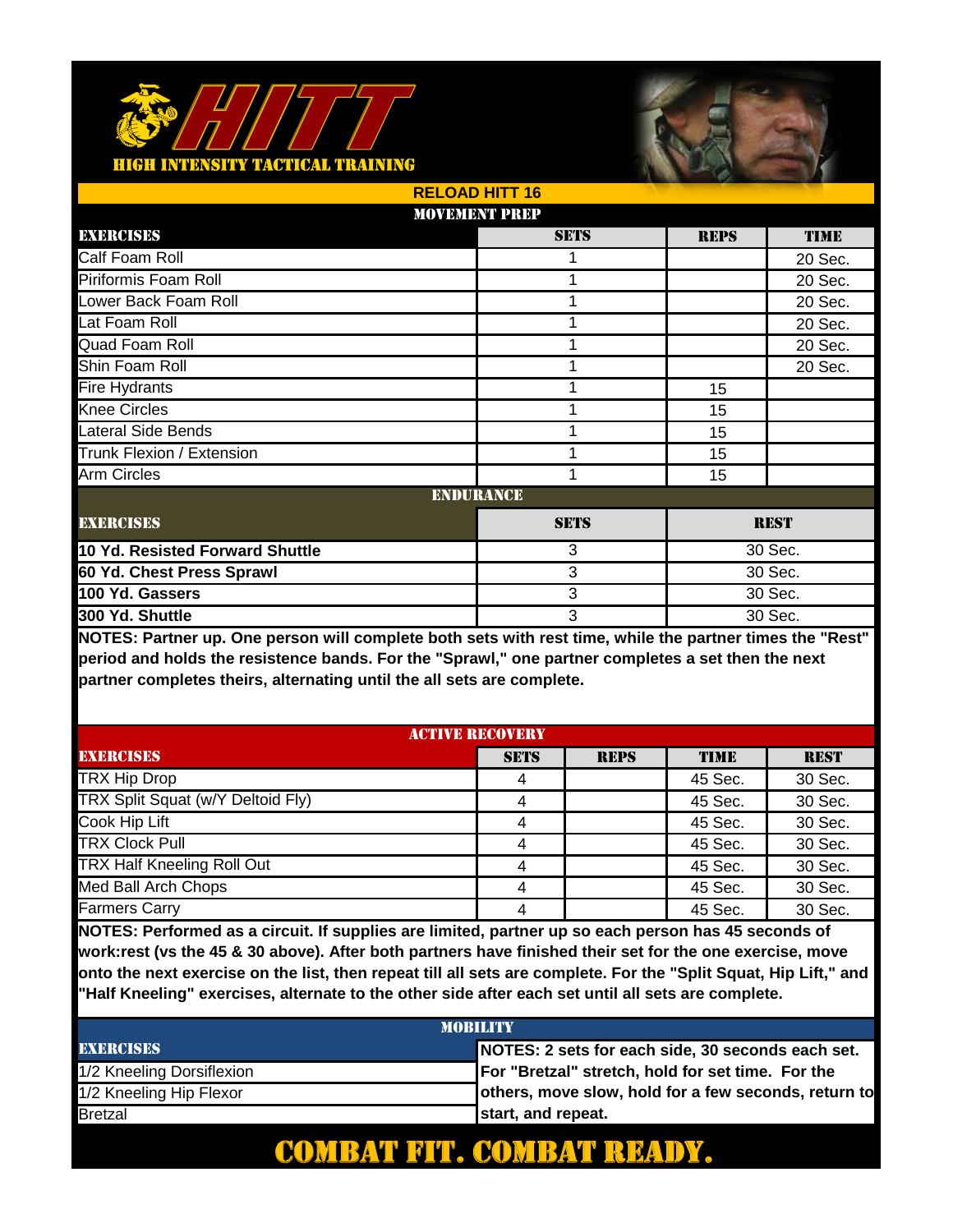

|                                 | <b>RELOAD HITT 16</b> |             |             |             |
|---------------------------------|-----------------------|-------------|-------------|-------------|
|                                 | <b>MOVEMENT PREP</b>  |             |             |             |
| EXERCISES                       |                       | <b>SETS</b> | <b>REPS</b> | <b>TIME</b> |
| Calf Foam Roll                  |                       |             |             | 20 Sec.     |
| Piriformis Foam Roll            |                       | 1           |             | 20 Sec.     |
| Lower Back Foam Roll            |                       | 1           |             | 20 Sec.     |
| Lat Foam Roll                   |                       | 1           |             | 20 Sec.     |
| Quad Foam Roll                  |                       | 1           |             | 20 Sec.     |
| Shin Foam Roll                  |                       |             |             | 20 Sec.     |
| <b>Fire Hydrants</b>            |                       | 1           | 15          |             |
| <b>Knee Circles</b>             |                       | 1           | 15          |             |
| Lateral Side Bends              |                       | 1           | 15          |             |
| Trunk Flexion / Extension       |                       | 1           | 15          |             |
| <b>Arm Circles</b>              |                       | 1           | 15          |             |
|                                 | <b>ENDURANCE</b>      |             |             |             |
| <b>EXERCISES</b>                |                       | <b>SETS</b> |             | <b>REST</b> |
| 10 Yd. Resisted Forward Shuttle |                       | 3           |             | 30 Sec.     |
| 60 Yd. Chest Press Sprawl       |                       | 3           | 30 Sec.     |             |
| 100 Yd. Gassers                 |                       | 3           |             | 30 Sec.     |
| 300 Yd. Shuttle                 |                       | 3           | 30 Sec.     |             |

**NOTES: Partner up. One person will complete both sets with rest time, while the partner times the "Rest" period and holds the resistence bands. For the "Sprawl," one partner completes a set then the next partner completes theirs, alternating until the all sets are complete.** 

| <b>ACTIVE RECOVERY</b>            |             |             |             |             |
|-----------------------------------|-------------|-------------|-------------|-------------|
| <b>EXERCISES</b>                  | <b>SETS</b> | <b>REPS</b> | <b>TIME</b> | <b>REST</b> |
| <b>TRX Hip Drop</b>               |             |             | 45 Sec.     | 30 Sec.     |
| TRX Split Squat (w/Y Deltoid Fly) | 4           |             | 45 Sec.     | 30 Sec.     |
| Cook Hip Lift                     | 4           |             | 45 Sec.     | 30 Sec.     |
| <b>TRX Clock Pull</b>             | 4           |             | 45 Sec.     | 30 Sec.     |
| <b>TRX Half Kneeling Roll Out</b> | 4           |             | 45 Sec.     | 30 Sec.     |
| Med Ball Arch Chops               | 4           |             | 45 Sec.     | 30 Sec.     |
| <b>Farmers Carry</b>              | 4           |             | 45 Sec.     | 30 Sec.     |

**NOTES: Performed as a circuit. If supplies are limited, partner up so each person has 45 seconds of work:rest (vs the 45 & 30 above). After both partners have finished their set for the one exercise, move onto the next exercise on the list, then repeat till all sets are complete. For the "Split Squat, Hip Lift," and "Half Kneeling" exercises, alternate to the other side after each set until all sets are complete.** 

| <b>MORILITY</b>           |                                                      |  |  |
|---------------------------|------------------------------------------------------|--|--|
| <b>EXERCISES</b>          | NOTES: 2 sets for each side, 30 seconds each set.    |  |  |
| 1/2 Kneeling Dorsiflexion | For "Bretzal" stretch, hold for set time. For the    |  |  |
| 1/2 Kneeling Hip Flexor   | others, move slow, hold for a few seconds, return to |  |  |
| <b>Bretzal</b>            | start, and repeat.                                   |  |  |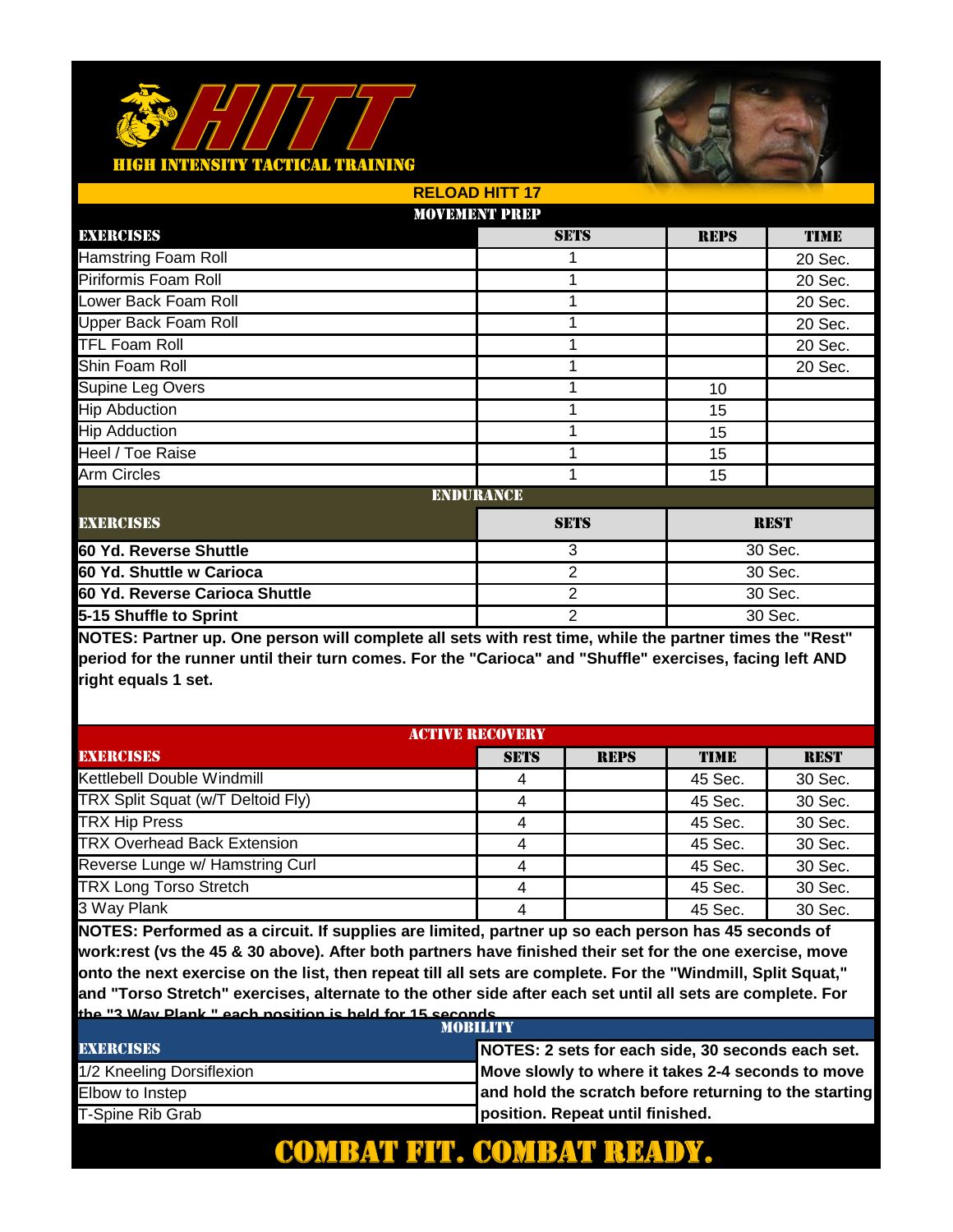

|                                | <b>RELOAD HITT 17</b> |             |             |  |
|--------------------------------|-----------------------|-------------|-------------|--|
|                                | <b>MOVEMENT PREP</b>  |             |             |  |
| EXERCISES                      | <b>SETS</b>           | <b>REPS</b> | <b>TIME</b> |  |
| <b>Hamstring Foam Roll</b>     |                       |             | 20 Sec.     |  |
| Piriformis Foam Roll           | 1                     |             | 20 Sec.     |  |
| Lower Back Foam Roll           | 1                     |             | 20 Sec.     |  |
| Upper Back Foam Roll           | 1                     |             | 20 Sec.     |  |
| <b>TFL Foam Roll</b>           |                       |             | 20 Sec.     |  |
| Shin Foam Roll                 | 1                     |             | 20 Sec.     |  |
| Supine Leg Overs               | 1                     | 10          |             |  |
| <b>Hip Abduction</b>           |                       | 15          |             |  |
| <b>Hip Adduction</b>           | 1                     | 15          |             |  |
| Heel / Toe Raise               | 1                     | 15          |             |  |
| Arm Circles                    | 1                     | 15          |             |  |
|                                | <b>ENDURANCE</b>      |             |             |  |
| <b>EXERCISES</b>               | <b>SETS</b>           |             | <b>REST</b> |  |
| 60 Yd. Reverse Shuttle         | 3                     | 30 Sec.     |             |  |
| 60 Yd. Shuttle w Carioca       | $\overline{2}$        | 30 Sec.     |             |  |
| 60 Yd. Reverse Carioca Shuttle | 2                     |             | 30 Sec.     |  |
| 5-15 Shuffle to Sprint         | 2                     |             | 30 Sec.     |  |
|                                |                       |             |             |  |

**NOTES: Partner up. One person will complete all sets with rest time, while the partner times the "Rest" period for the runner until their turn comes. For the "Carioca" and "Shuffle" exercises, facing left AND right equals 1 set.** 

| <b>ACTIVE RECOVERY</b>             |             |             |             |             |
|------------------------------------|-------------|-------------|-------------|-------------|
| <b>EXERCISES</b>                   | <b>SETS</b> | <b>REPS</b> | <b>TIME</b> | <b>REST</b> |
| Kettlebell Double Windmill         |             |             | 45 Sec.     | 30 Sec.     |
| TRX Split Squat (w/T Deltoid Fly)  |             |             | 45 Sec.     | 30 Sec.     |
| <b>TRX Hip Press</b>               |             |             | 45 Sec.     | 30 Sec.     |
| <b>TRX Overhead Back Extension</b> |             |             | 45 Sec.     | 30 Sec.     |
| Reverse Lunge w/ Hamstring Curl    |             |             | 45 Sec.     | 30 Sec.     |
| <b>TRX Long Torso Stretch</b>      |             |             | 45 Sec.     | 30 Sec.     |
| 3 Way Plank                        |             |             | 45 Sec.     | 30 Sec.     |

**NOTES: Performed as a circuit. If supplies are limited, partner up so each person has 45 seconds of work:rest (vs the 45 & 30 above). After both partners have finished their set for the one exercise, move onto the next exercise on the list, then repeat till all sets are complete. For the "Windmill, Split Squat," and "Torso Stretch" exercises, alternate to the other side after each set until all sets are complete. For the "3 Way Plank," each position is held for 15 seconds.**

| <b>MORILITY</b>           |                                                       |  |
|---------------------------|-------------------------------------------------------|--|
| <b>EXERCISES</b>          | NOTES: 2 sets for each side, 30 seconds each set.     |  |
| 1/2 Kneeling Dorsiflexion | Move slowly to where it takes 2-4 seconds to move     |  |
| Elbow to Instep           | and hold the scratch before returning to the starting |  |
| T-Spine Rib Grab          | position. Repeat until finished.                      |  |

### **COMBAT FIT. COMBAT**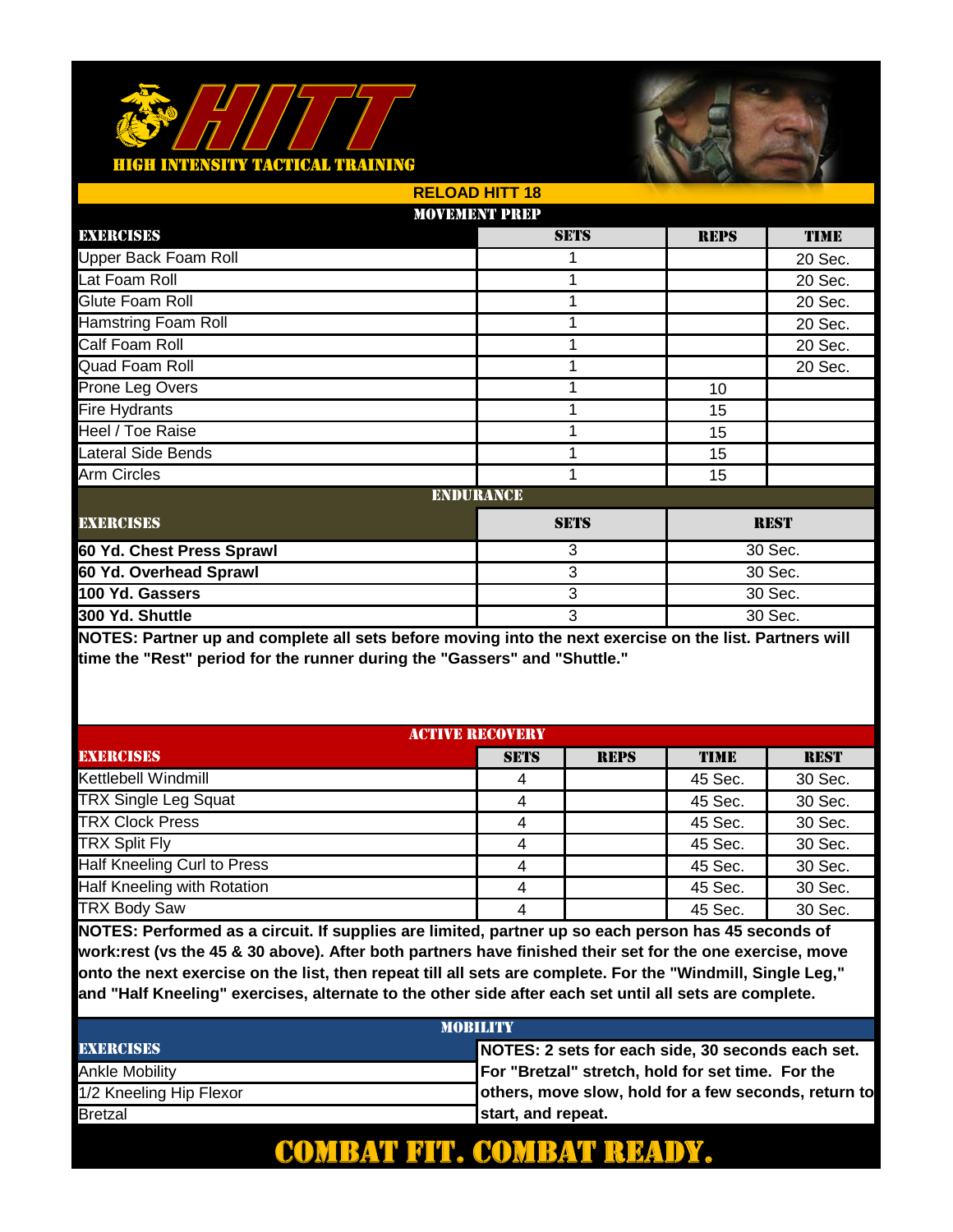

|                             | <b>RELOAD HITT 18</b> |             |             |             |
|-----------------------------|-----------------------|-------------|-------------|-------------|
|                             | <b>MOVEMENT PREP</b>  |             |             |             |
| EXERCISES                   |                       | <b>SETS</b> | <b>REPS</b> | <b>TIME</b> |
| <b>Upper Back Foam Roll</b> |                       |             |             | 20 Sec.     |
| Lat Foam Roll               |                       | 1           |             | 20 Sec.     |
| Glute Foam Roll             |                       | 1           |             | 20 Sec.     |
| <b>Hamstring Foam Roll</b>  |                       | 1           |             | 20 Sec.     |
| Calf Foam Roll              |                       | 1           |             | 20 Sec.     |
| Quad Foam Roll              |                       |             |             | 20 Sec.     |
| Prone Leg Overs             |                       | 1           | 10          |             |
| Fire Hydrants               |                       | 1           | 15          |             |
| Heel / Toe Raise            |                       | 1           | 15          |             |
| <b>Lateral Side Bends</b>   |                       | 1           | 15          |             |
| <b>Arm Circles</b>          |                       | 1           | 15          |             |
|                             | <b>ENDURANCE</b>      |             |             |             |
| <b>EXERCISES</b>            |                       | <b>SETS</b> | <b>REST</b> |             |
| 60 Yd. Chest Press Sprawl   |                       | 3           | 30 Sec.     |             |
| 60 Yd. Overhead Sprawl      |                       | 3           | 30 Sec.     |             |
| 100 Yd. Gassers             |                       | 3           |             | 30 Sec.     |
| 300 Yd. Shuttle             |                       | 3           | 30 Sec.     |             |

**NOTES: Partner up and complete all sets before moving into the next exercise on the list. Partners will time the "Rest" period for the runner during the "Gassers" and "Shuttle."**

| <b>ACTIVE RECOVERY</b>      |             |             |         |             |
|-----------------------------|-------------|-------------|---------|-------------|
| <b>EXERCISES</b>            | <b>SETS</b> | <b>REPS</b> | TIME    | <b>REST</b> |
| Kettlebell Windmill         |             |             | 45 Sec. | 30 Sec.     |
| <b>TRX Single Leg Squat</b> |             |             | 45 Sec. | 30 Sec.     |
| <b>TRX Clock Press</b>      |             |             | 45 Sec. | 30 Sec.     |
| <b>TRX Split Fly</b>        |             |             | 45 Sec. | 30 Sec.     |
| Half Kneeling Curl to Press |             |             | 45 Sec. | 30 Sec.     |
| Half Kneeling with Rotation |             |             | 45 Sec. | 30 Sec.     |
| <b>TRX Body Saw</b>         |             |             | 45 Sec. | 30 Sec.     |

**NOTES: Performed as a circuit. If supplies are limited, partner up so each person has 45 seconds of work:rest (vs the 45 & 30 above). After both partners have finished their set for the one exercise, move onto the next exercise on the list, then repeat till all sets are complete. For the "Windmill, Single Leg," and "Half Kneeling" exercises, alternate to the other side after each set until all sets are complete.** 

| <b>MORILITY</b>         |                                                      |  |  |
|-------------------------|------------------------------------------------------|--|--|
| <b>EXERCISES</b>        | NOTES: 2 sets for each side, 30 seconds each set.    |  |  |
| Ankle Mobilitv          | For "Bretzal" stretch, hold for set time. For the    |  |  |
| 1/2 Kneeling Hip Flexor | others, move slow, hold for a few seconds, return to |  |  |
| <b>Bretzal</b>          | start, and repeat.                                   |  |  |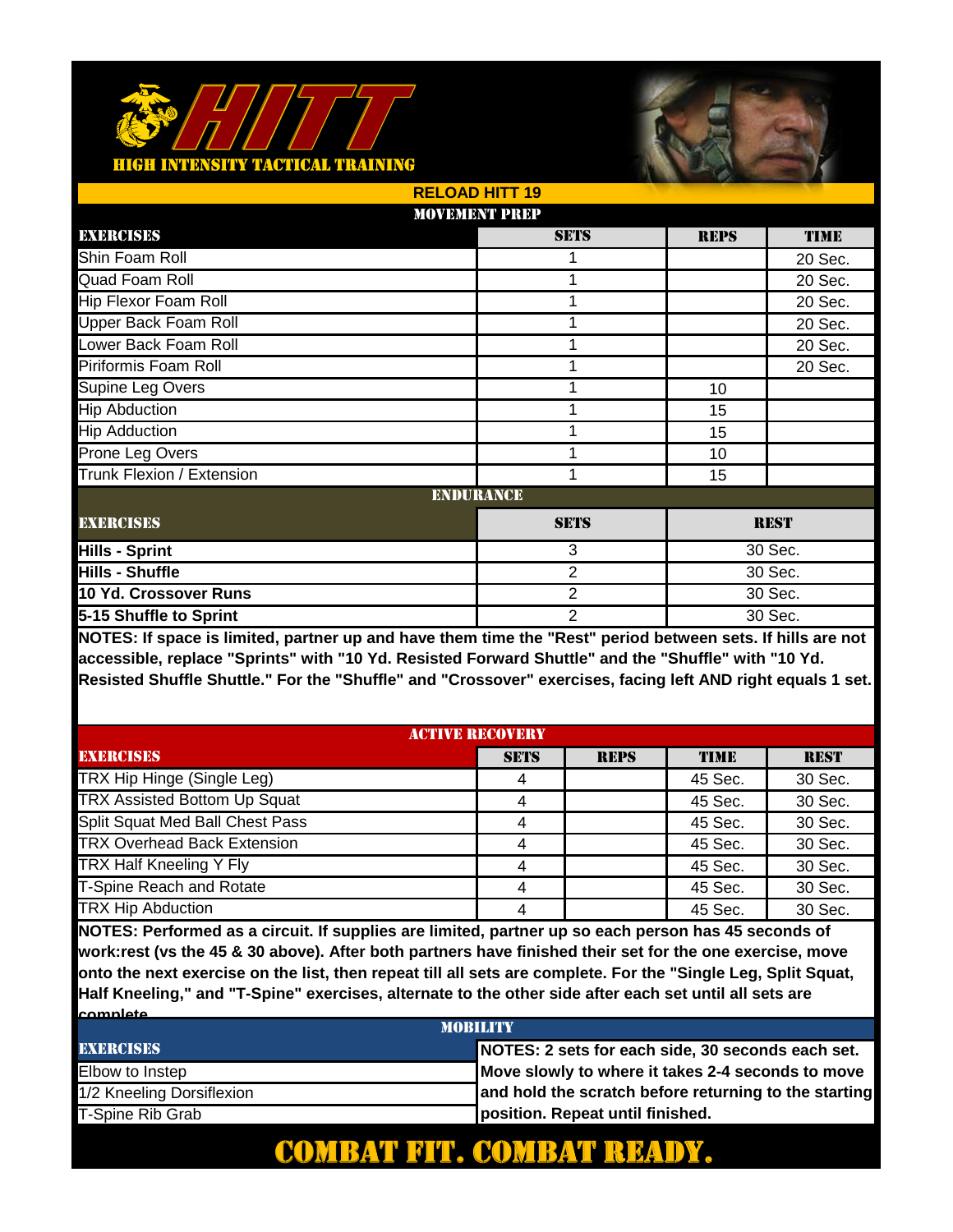

|                             | <b>RELOAD HITT 19</b> |                |             |             |
|-----------------------------|-----------------------|----------------|-------------|-------------|
|                             | <b>MOVEMENT PREP</b>  |                |             |             |
| EXERCISES                   |                       | <b>SETS</b>    | <b>REPS</b> | <b>TIME</b> |
| Shin Foam Roll              |                       |                |             | 20 Sec.     |
| Quad Foam Roll              |                       | 1              |             | 20 Sec.     |
| Hip Flexor Foam Roll        |                       | 1              |             | 20 Sec.     |
| <b>Upper Back Foam Roll</b> |                       | 1              |             | 20 Sec.     |
| Lower Back Foam Roll        |                       | 1              |             | 20 Sec.     |
| Piriformis Foam Roll        |                       |                |             | 20 Sec.     |
| Supine Leg Overs            |                       | 1              | 10          |             |
| <b>Hip Abduction</b>        |                       | 1              | 15          |             |
| <b>Hip Adduction</b>        |                       | 1              | 15          |             |
| Prone Leg Overs             |                       | 1              | 10          |             |
| Trunk Flexion / Extension   |                       | 1              | 15          |             |
|                             | <b>ENDURANCE</b>      |                |             |             |
| <b>EXERCISES</b>            | <b>SETS</b>           |                |             | <b>REST</b> |
| <b>Hills - Sprint</b>       |                       | 3              | 30 Sec.     |             |
| <b>Hills - Shuffle</b>      |                       | 2              |             | 30 Sec.     |
| 10 Yd. Crossover Runs       |                       | $\overline{2}$ |             | 30 Sec.     |
| 5-15 Shuffle to Sprint      |                       | $\overline{2}$ |             | 30 Sec.     |

**NOTES: If space is limited, partner up and have them time the "Rest" period between sets. If hills are not accessible, replace "Sprints" with "10 Yd. Resisted Forward Shuttle" and the "Shuffle" with "10 Yd. Resisted Shuffle Shuttle." For the "Shuffle" and "Crossover" exercises, facing left AND right equals 1 set.** 

| <b>ACTIVE RECOVERY</b>              |             |             |             |             |
|-------------------------------------|-------------|-------------|-------------|-------------|
| <b>EXERCISES</b>                    | <b>SETS</b> | <b>REPS</b> | <b>TIME</b> | <b>REST</b> |
| TRX Hip Hinge (Single Leg)          |             |             | 45 Sec.     | 30 Sec.     |
| <b>TRX Assisted Bottom Up Squat</b> |             |             | 45 Sec.     | 30 Sec.     |
| Split Squat Med Ball Chest Pass     |             |             | 45 Sec.     | 30 Sec.     |
| <b>TRX Overhead Back Extension</b>  | 4           |             | 45 Sec.     | 30 Sec.     |
| TRX Half Kneeling Y Fly             |             |             | 45 Sec.     | 30 Sec.     |
| <b>T-Spine Reach and Rotate</b>     |             |             | 45 Sec.     | 30 Sec.     |
| <b>TRX Hip Abduction</b>            |             |             | 45 Sec.     | 30 Sec.     |

**NOTES: Performed as a circuit. If supplies are limited, partner up so each person has 45 seconds of work:rest (vs the 45 & 30 above). After both partners have finished their set for the one exercise, move onto the next exercise on the list, then repeat till all sets are complete. For the "Single Leg, Split Squat, Half Kneeling," and "T-Spine" exercises, alternate to the other side after each set until all sets are complete.** 

| <b>MORILITY</b>           |                                                       |  |  |
|---------------------------|-------------------------------------------------------|--|--|
| <b>EXERCISES</b>          | NOTES: 2 sets for each side, 30 seconds each set.     |  |  |
| Elbow to Instep           | Move slowly to where it takes 2-4 seconds to move     |  |  |
| 1/2 Kneeling Dorsiflexion | and hold the scratch before returning to the starting |  |  |
| T-Spine Rib Grab          | position. Repeat until finished.                      |  |  |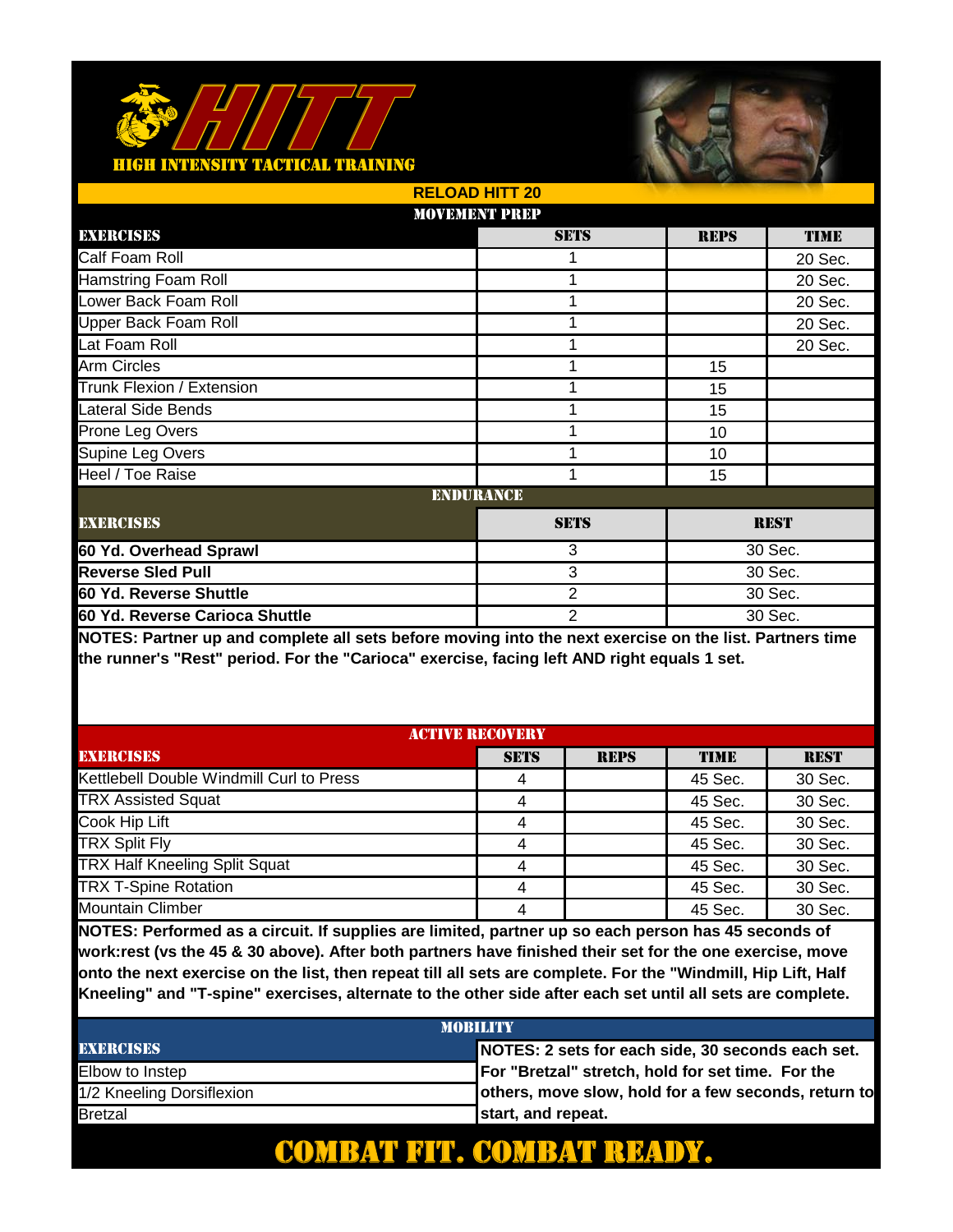#### <u> FACTICAL TRAINING</u>



|                                | <b>RELOAD HITT 20</b> |                |             |             |
|--------------------------------|-----------------------|----------------|-------------|-------------|
|                                | <b>MOVEMENT PREP</b>  |                |             |             |
| EXERCISES                      |                       | <b>SETS</b>    | <b>REPS</b> | <b>TIME</b> |
| Calf Foam Roll                 |                       |                |             | 20 Sec.     |
| <b>Hamstring Foam Roll</b>     |                       | 1              |             | 20 Sec.     |
| Lower Back Foam Roll           |                       | 1              |             | 20 Sec.     |
| <b>Upper Back Foam Roll</b>    |                       | 1              |             | 20 Sec.     |
| Lat Foam Roll                  |                       | 1              |             | 20 Sec.     |
| Arm Circles                    |                       |                | 15          |             |
| Trunk Flexion / Extension      |                       | 1              | 15          |             |
| <b>Lateral Side Bends</b>      |                       |                | 15          |             |
| Prone Leg Overs                |                       | 1              | 10          |             |
| Supine Leg Overs               |                       | 1              | 10          |             |
| Heel / Toe Raise               |                       | 1              | 15          |             |
|                                | <b>ENDURANCE</b>      |                |             |             |
| <b>EXERCISES</b>               |                       | <b>SETS</b>    |             | <b>REST</b> |
| 60 Yd. Overhead Sprawl         |                       | 3              |             | 30 Sec.     |
| <b>Reverse Sled Pull</b>       |                       | 3              | 30 Sec.     |             |
| 60 Yd. Reverse Shuttle         |                       | $\overline{2}$ |             | 30 Sec.     |
| 60 Yd. Reverse Carioca Shuttle |                       | $\overline{2}$ | 30 Sec.     |             |

**NOTES: Partner up and complete all sets before moving into the next exercise on the list. Partners time the runner's "Rest" period. For the "Carioca" exercise, facing left AND right equals 1 set.** 

| <b>ACTIVE RECOVERY</b>                   |             |             |         |             |
|------------------------------------------|-------------|-------------|---------|-------------|
| <b>EXERCISES</b>                         | <b>SETS</b> | <b>REPS</b> | TIME    | <b>REST</b> |
| Kettlebell Double Windmill Curl to Press |             |             | 45 Sec. | 30 Sec.     |
| <b>TRX Assisted Squat</b>                |             |             | 45 Sec. | 30 Sec.     |
| Cook Hip Lift                            |             |             | 45 Sec. | 30 Sec.     |
| <b>TRX Split Fly</b>                     |             |             | 45 Sec. | 30 Sec.     |
| <b>TRX Half Kneeling Split Squat</b>     |             |             | 45 Sec. | 30 Sec.     |
| <b>TRX T-Spine Rotation</b>              |             |             | 45 Sec. | 30 Sec.     |
| <b>Mountain Climber</b>                  |             |             | 45 Sec. | 30 Sec.     |

**NOTES: Performed as a circuit. If supplies are limited, partner up so each person has 45 seconds of work:rest (vs the 45 & 30 above). After both partners have finished their set for the one exercise, move onto the next exercise on the list, then repeat till all sets are complete. For the "Windmill, Hip Lift, Half Kneeling" and "T-spine" exercises, alternate to the other side after each set until all sets are complete.** 

| <b>MORILITY</b>           |                                                      |  |  |
|---------------------------|------------------------------------------------------|--|--|
| <b>EXERCISES</b>          | NOTES: 2 sets for each side, 30 seconds each set.    |  |  |
| Elbow to Instep           | For "Bretzal" stretch, hold for set time. For the    |  |  |
| 1/2 Kneeling Dorsiflexion | others, move slow, hold for a few seconds, return to |  |  |
| <b>Bretzal</b>            | start, and repeat.                                   |  |  |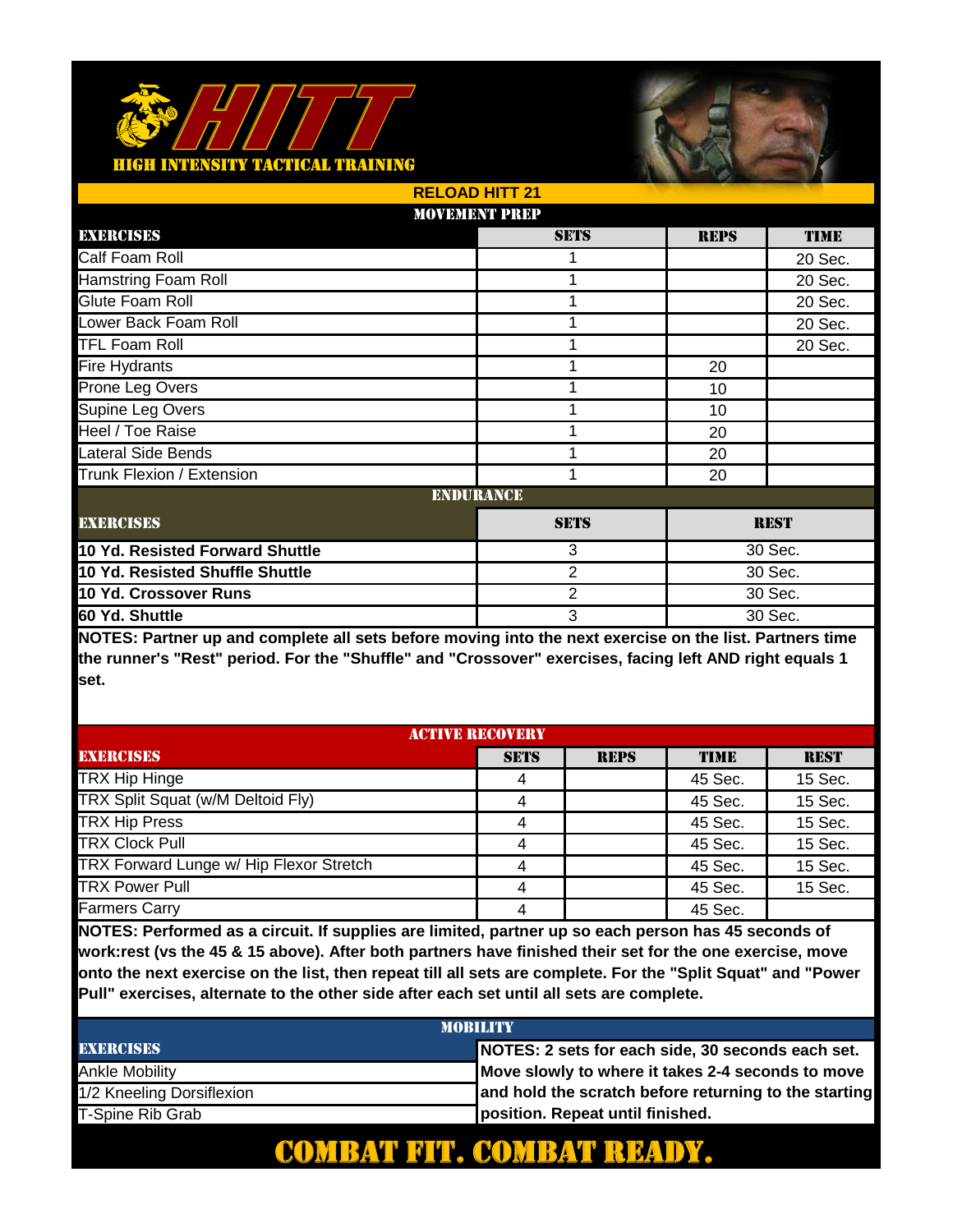

|                                 | <b>RELOAD HITT 21</b> |                |             |             |  |
|---------------------------------|-----------------------|----------------|-------------|-------------|--|
|                                 | <b>MOVEMENT PREP</b>  |                |             |             |  |
| EXERCISES                       |                       | <b>SETS</b>    | <b>REPS</b> | <b>TIME</b> |  |
| Calf Foam Roll                  |                       |                |             | 20 Sec.     |  |
| <b>Hamstring Foam Roll</b>      |                       | 1              |             | 20 Sec.     |  |
| Glute Foam Roll                 |                       | 1              |             | 20 Sec.     |  |
| Lower Back Foam Roll            |                       | 1              |             | 20 Sec.     |  |
| <b>TFL Foam Roll</b>            |                       | 1              |             | 20 Sec.     |  |
| <b>Fire Hydrants</b>            |                       |                | 20          |             |  |
| Prone Leg Overs                 |                       | 1              | 10          |             |  |
| Supine Leg Overs                |                       |                | 10          |             |  |
| Heel / Toe Raise                |                       |                | 20          |             |  |
| <b>Lateral Side Bends</b>       |                       | 1              | 20          |             |  |
| Trunk Flexion / Extension       |                       | 1              | 20          |             |  |
|                                 | <b>ENDURANCE</b>      |                |             |             |  |
| <b>EXERCISES</b>                |                       | <b>SETS</b>    |             | <b>REST</b> |  |
| 10 Yd. Resisted Forward Shuttle |                       | 3              |             | 30 Sec.     |  |
| 10 Yd. Resisted Shuffle Shuttle |                       | 2              | 30 Sec.     |             |  |
| 10 Yd. Crossover Runs           |                       | $\overline{2}$ |             | 30 Sec.     |  |
| 60 Yd. Shuttle                  |                       | 3              | 30 Sec.     |             |  |

**NOTES: Partner up and complete all sets before moving into the next exercise on the list. Partners time the runner's "Rest" period. For the "Shuffle" and "Crossover" exercises, facing left AND right equals 1 set.** 

| <b>ACTIVE RECOVERY</b>                  |             |             |             |             |
|-----------------------------------------|-------------|-------------|-------------|-------------|
| <b>EXERCISES</b>                        | <b>SETS</b> | <b>REPS</b> | <b>TIME</b> | <b>REST</b> |
| TRX Hip Hinge                           |             |             | 45 Sec.     | 15 Sec.     |
| TRX Split Squat (w/M Deltoid Fly)       |             |             | 45 Sec.     | 15 Sec.     |
| <b>TRX Hip Press</b>                    | 4           |             | 45 Sec.     | 15 Sec.     |
| <b>TRX Clock Pull</b>                   | 4           |             | 45 Sec.     | 15 Sec.     |
| TRX Forward Lunge w/ Hip Flexor Stretch |             |             | 45 Sec.     | 15 Sec.     |
| <b>TRX Power Pull</b>                   |             |             | 45 Sec.     | 15 Sec.     |
| <b>Farmers Carry</b>                    |             |             | 45 Sec.     |             |

**NOTES: Performed as a circuit. If supplies are limited, partner up so each person has 45 seconds of work:rest (vs the 45 & 15 above). After both partners have finished their set for the one exercise, move onto the next exercise on the list, then repeat till all sets are complete. For the "Split Squat" and "Power Pull" exercises, alternate to the other side after each set until all sets are complete.** 

| <b>MOBILITY</b>           |                                                       |  |  |
|---------------------------|-------------------------------------------------------|--|--|
| <b>EXERCISES</b>          | NOTES: 2 sets for each side, 30 seconds each set.     |  |  |
| Ankle Mobility            | Move slowly to where it takes 2-4 seconds to move     |  |  |
| 1/2 Kneeling Dorsiflexion | and hold the scratch before returning to the starting |  |  |
| T-Spine Rib Grab          | position. Repeat until finished.                      |  |  |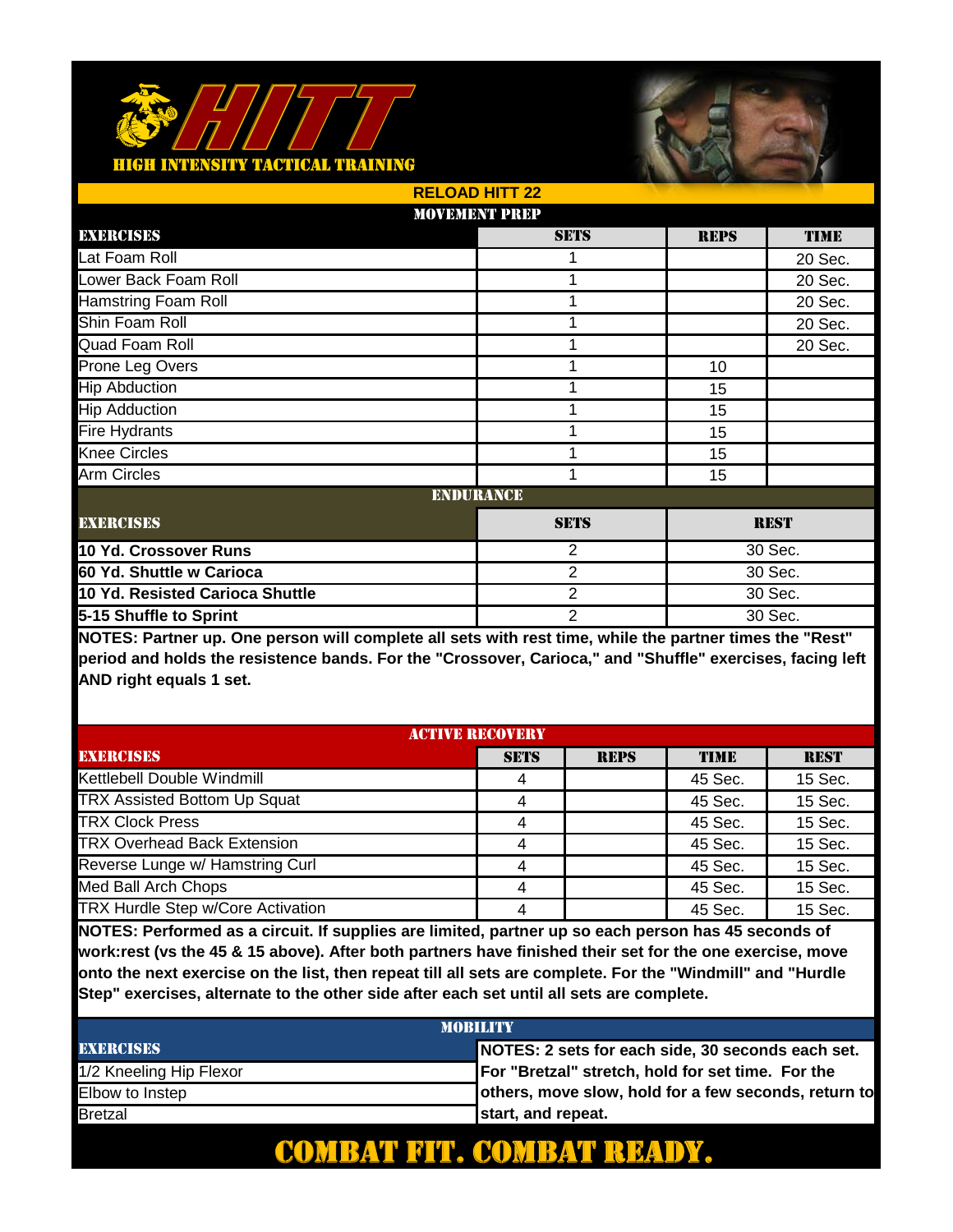#### <u> FACTICAL TRAINING</u>



|                                 | <b>RELOAD HITT 22</b> |                |             |             |  |
|---------------------------------|-----------------------|----------------|-------------|-------------|--|
|                                 | <b>MOVEMENT PREP</b>  |                |             |             |  |
| EXERCISES                       |                       | <b>SETS</b>    | <b>REPS</b> | <b>TIME</b> |  |
| Lat Foam Roll                   |                       |                |             | 20 Sec.     |  |
| Lower Back Foam Roll            |                       | 1              |             | 20 Sec.     |  |
| <b>Hamstring Foam Roll</b>      |                       | 1              |             | 20 Sec.     |  |
| Shin Foam Roll                  |                       | 1              |             | 20 Sec.     |  |
| Quad Foam Roll                  |                       | 1              |             | 20 Sec.     |  |
| Prone Leg Overs                 |                       |                | 10          |             |  |
| <b>Hip Abduction</b>            |                       | 1              | 15          |             |  |
| <b>Hip Adduction</b>            |                       | 1              | 15          |             |  |
| <b>Fire Hydrants</b>            |                       | 1              | 15          |             |  |
| <b>Knee Circles</b>             |                       | 1              | 15          |             |  |
| <b>Arm Circles</b>              |                       | 1              | 15          |             |  |
|                                 | <b>ENDURANCE</b>      |                |             |             |  |
| <b>EXERCISES</b>                |                       | <b>SETS</b>    |             | <b>REST</b> |  |
| 10 Yd. Crossover Runs           |                       | $\overline{2}$ |             | 30 Sec.     |  |
| 60 Yd. Shuttle w Carioca        |                       | 2              | 30 Sec.     |             |  |
| 10 Yd. Resisted Carioca Shuttle |                       | $\overline{2}$ |             | 30 Sec.     |  |
| 5-15 Shuffle to Sprint          |                       | $\overline{2}$ | 30 Sec.     |             |  |

**NOTES: Partner up. One person will complete all sets with rest time, while the partner times the "Rest" period and holds the resistence bands. For the "Crossover, Carioca," and "Shuffle" exercises, facing left AND right equals 1 set.** 

| <b>ACTIVE RECOVERY</b>              |             |             |             |             |
|-------------------------------------|-------------|-------------|-------------|-------------|
| <b>EXERCISES</b>                    | <b>SETS</b> | <b>REPS</b> | <b>TIME</b> | <b>REST</b> |
| Kettlebell Double Windmill          |             |             | 45 Sec.     | 15 Sec.     |
| <b>TRX Assisted Bottom Up Squat</b> |             |             | 45 Sec.     | 15 Sec.     |
| <b>TRX Clock Press</b>              |             |             | 45 Sec.     | 15 Sec.     |
| <b>TRX Overhead Back Extension</b>  |             |             | 45 Sec.     | 15 Sec.     |
| Reverse Lunge w/ Hamstring Curl     |             |             | 45 Sec.     | 15 Sec.     |
| Med Ball Arch Chops                 |             |             | 45 Sec.     | 15 Sec.     |
| TRX Hurdle Step w/Core Activation   |             |             | 45 Sec.     | 15 Sec.     |

**NOTES: Performed as a circuit. If supplies are limited, partner up so each person has 45 seconds of work:rest (vs the 45 & 15 above). After both partners have finished their set for the one exercise, move onto the next exercise on the list, then repeat till all sets are complete. For the "Windmill" and "Hurdle Step" exercises, alternate to the other side after each set until all sets are complete.** 

| <b>MORILITY</b>         |                                                      |  |  |  |
|-------------------------|------------------------------------------------------|--|--|--|
| <b>EXERCISES</b>        | NOTES: 2 sets for each side, 30 seconds each set.    |  |  |  |
| 1/2 Kneeling Hip Flexor | For "Bretzal" stretch, hold for set time. For the    |  |  |  |
| Elbow to Instep         | others, move slow, hold for a few seconds, return to |  |  |  |
| <b>Bretzal</b>          | start, and repeat.                                   |  |  |  |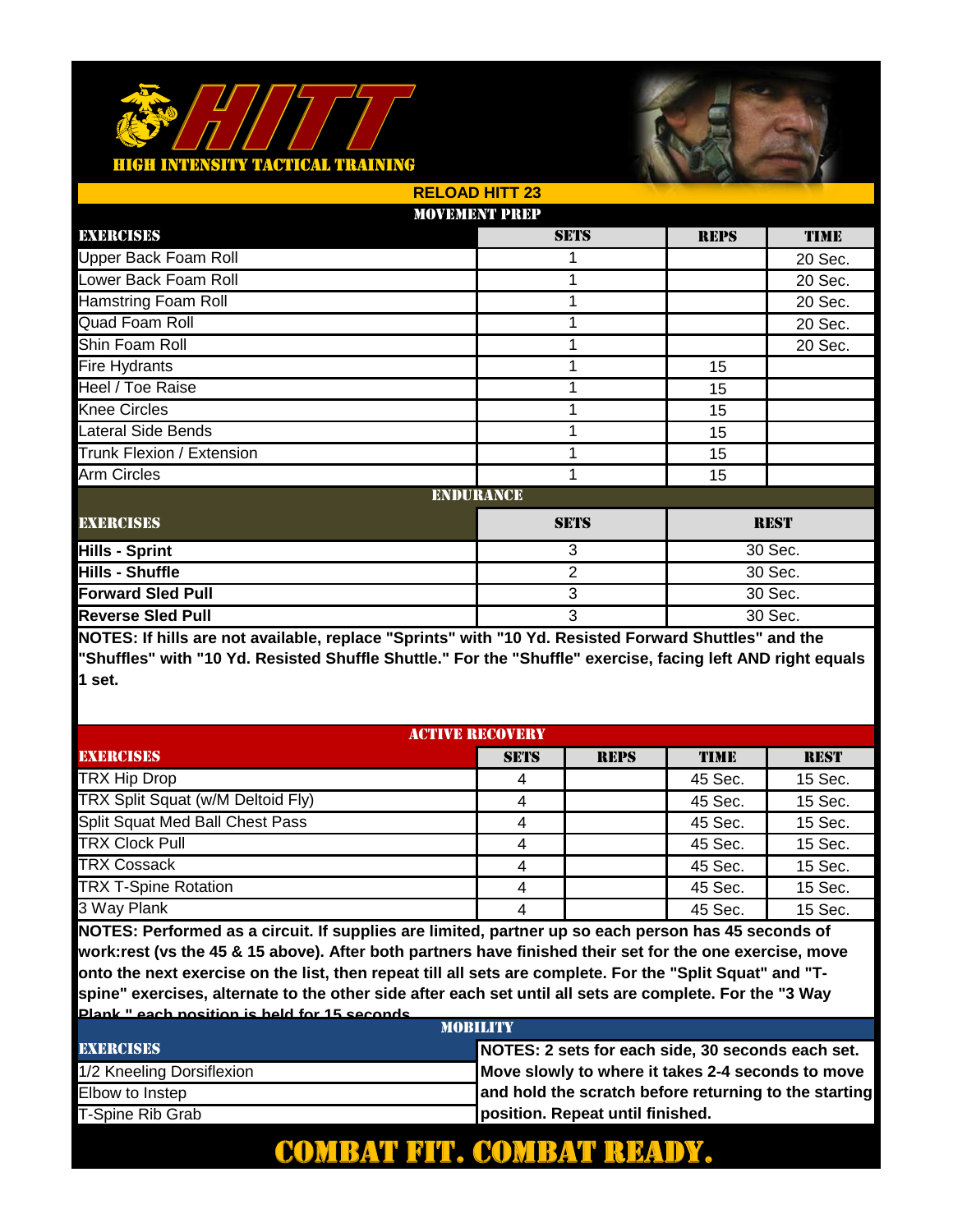

|                             | <b>RELOAD HITT 23</b> |             |             |             |
|-----------------------------|-----------------------|-------------|-------------|-------------|
|                             | <b>MOVEMENT PREP</b>  |             |             |             |
| EXERCISES                   |                       | <b>SETS</b> | <b>REPS</b> | <b>TIME</b> |
| <b>Upper Back Foam Roll</b> |                       |             |             | 20 Sec.     |
| Lower Back Foam Roll        |                       | 1           |             | 20 Sec.     |
| <b>Hamstring Foam Roll</b>  |                       | 1           |             | 20 Sec.     |
| Quad Foam Roll              |                       | 1           |             | 20 Sec.     |
| Shin Foam Roll              |                       | 1           |             | 20 Sec.     |
| <b>Fire Hydrants</b>        |                       |             | 15          |             |
| Heel / Toe Raise            |                       | 1           | 15          |             |
| <b>Knee Circles</b>         |                       | 1           | 15          |             |
| Lateral Side Bends          |                       | 1           | 15          |             |
| Trunk Flexion / Extension   |                       | 1           | 15          |             |
| <b>Arm Circles</b>          |                       | 1           | 15          |             |
|                             | <b>ENDURANCE</b>      |             |             |             |
| <b>EXERCISES</b>            |                       | <b>SETS</b> |             | <b>REST</b> |
| <b>Hills - Sprint</b>       |                       | 3           | 30 Sec.     |             |
| <b>Hills - Shuffle</b>      |                       | 2           | 30 Sec.     |             |
| <b>Forward Sled Pull</b>    |                       | 3           |             | 30 Sec.     |
| <b>Reverse Sled Pull</b>    |                       | 3           | 30 Sec.     |             |

**NOTES: If hills are not available, replace "Sprints" with "10 Yd. Resisted Forward Shuttles" and the "Shuffles" with "10 Yd. Resisted Shuffle Shuttle." For the "Shuffle" exercise, facing left AND right equals 1 set.** 

| <b>ACTIVE RECOVERY</b>            |             |             |             |             |
|-----------------------------------|-------------|-------------|-------------|-------------|
| <b>EXERCISES</b>                  | <b>SETS</b> | <b>REPS</b> | <b>TIME</b> | <b>REST</b> |
| <b>TRX Hip Drop</b>               |             |             | 45 Sec.     | 15 Sec.     |
| TRX Split Squat (w/M Deltoid Fly) |             |             | 45 Sec.     | 15 Sec.     |
| Split Squat Med Ball Chest Pass   |             |             | 45 Sec.     | 15 Sec.     |
| <b>TRX Clock Pull</b>             |             |             | 45 Sec.     | 15 Sec.     |
| <b>TRX Cossack</b>                |             |             | 45 Sec.     | 15 Sec.     |
| <b>TRX T-Spine Rotation</b>       |             |             | 45 Sec.     | 15 Sec.     |
| 3 Way Plank                       |             |             | 45 Sec.     | 15 Sec.     |

**NOTES: Performed as a circuit. If supplies are limited, partner up so each person has 45 seconds of work:rest (vs the 45 & 15 above). After both partners have finished their set for the one exercise, move onto the next exercise on the list, then repeat till all sets are complete. For the "Split Squat" and "Tspine" exercises, alternate to the other side after each set until all sets are complete. For the "3 Way Plank," each position is held for 15 seconds.**

| <b>MORILITY</b>           |                                                       |  |  |  |
|---------------------------|-------------------------------------------------------|--|--|--|
| <b>EXERCISES</b>          | NOTES: 2 sets for each side, 30 seconds each set.     |  |  |  |
| 1/2 Kneeling Dorsiflexion | Move slowly to where it takes 2-4 seconds to move     |  |  |  |
| Elbow to Instep           | and hold the scratch before returning to the starting |  |  |  |
| T-Spine Rib Grab          | position. Repeat until finished.                      |  |  |  |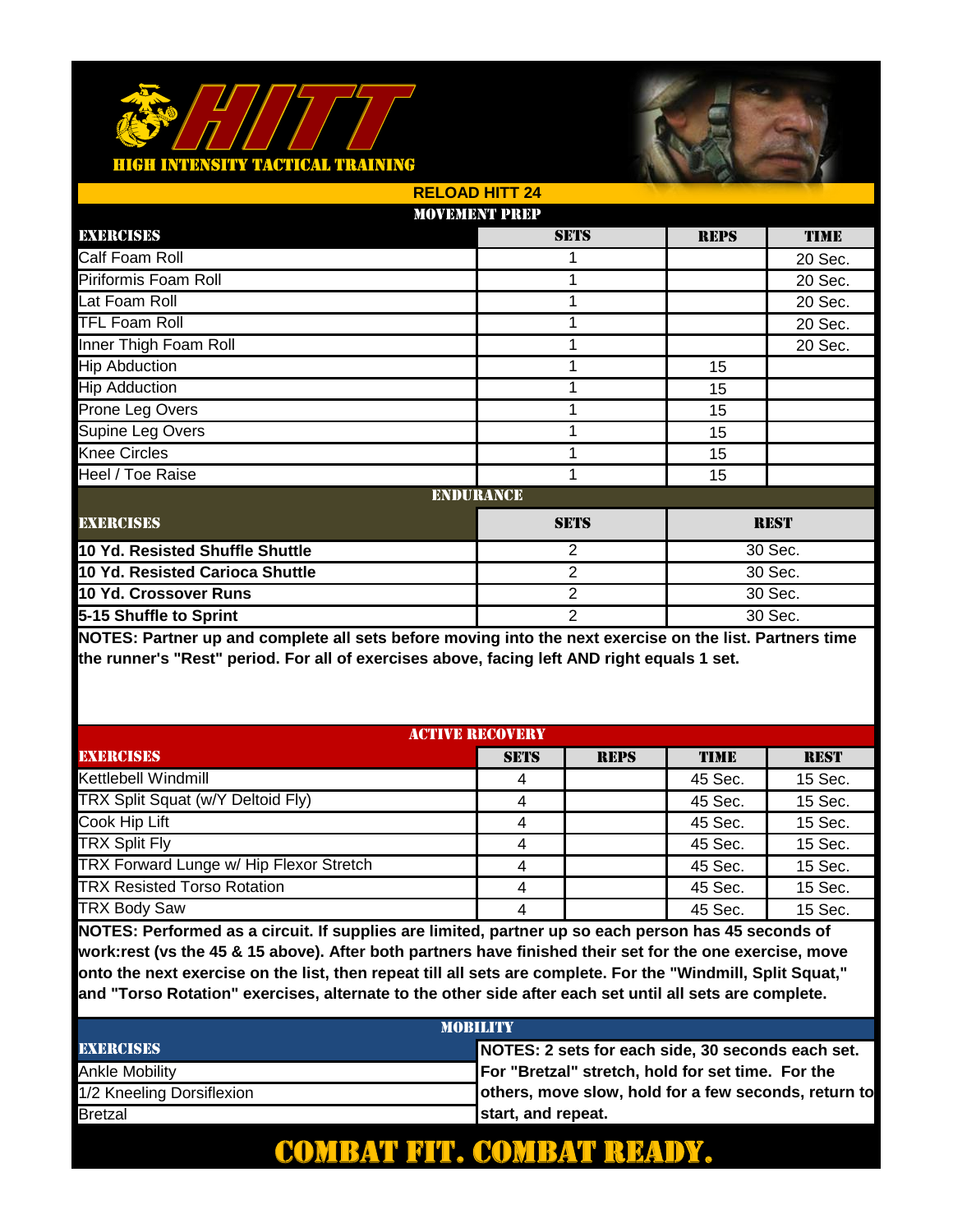#### <u> FACTICAL TRAINING</u>



|                                 | <b>RELOAD HITT 24</b> |                |             |             |  |
|---------------------------------|-----------------------|----------------|-------------|-------------|--|
|                                 | <b>MOVEMENT PREP</b>  |                |             |             |  |
| EXERCISES                       |                       | <b>SETS</b>    | <b>REPS</b> | <b>TIME</b> |  |
| Calf Foam Roll                  |                       |                |             | 20 Sec.     |  |
| Piriformis Foam Roll            |                       | 1              |             | 20 Sec.     |  |
| Lat Foam Roll                   |                       | 1              |             | 20 Sec.     |  |
| <b>TFL Foam Roll</b>            |                       | 1              |             | 20 Sec.     |  |
| Inner Thigh Foam Roll           |                       | 1              |             | 20 Sec.     |  |
| <b>Hip Abduction</b>            |                       |                | 15          |             |  |
| <b>Hip Adduction</b>            |                       | 1              | 15          |             |  |
| Prone Leg Overs                 |                       |                | 15          |             |  |
| Supine Leg Overs                |                       | 1              | 15          |             |  |
| <b>Knee Circles</b>             |                       | 1              | 15          |             |  |
| Heel / Toe Raise                |                       | 1              | 15          |             |  |
|                                 | <b>ENDURANCE</b>      |                |             |             |  |
| <b>EXERCISES</b>                |                       | <b>SETS</b>    |             | <b>REST</b> |  |
| 10 Yd. Resisted Shuffle Shuttle |                       | 2              |             | 30 Sec.     |  |
| 10 Yd. Resisted Carioca Shuttle |                       | 2              | 30 Sec.     |             |  |
| 10 Yd. Crossover Runs           |                       | $\overline{2}$ |             | 30 Sec.     |  |
| 5-15 Shuffle to Sprint          |                       | $\overline{2}$ | 30 Sec.     |             |  |

**NOTES: Partner up and complete all sets before moving into the next exercise on the list. Partners time the runner's "Rest" period. For all of exercises above, facing left AND right equals 1 set.** 

| <b>ACTIVE RECOVERY</b>                  |             |             |             |             |
|-----------------------------------------|-------------|-------------|-------------|-------------|
| <b>EXERCISES</b>                        | <b>SETS</b> | <b>REPS</b> | <b>TIME</b> | <b>REST</b> |
| Kettlebell Windmill                     |             |             | 45 Sec.     | 15 Sec.     |
| TRX Split Squat (w/Y Deltoid Fly)       |             |             | 45 Sec.     | 15 Sec.     |
| Cook Hip Lift                           |             |             | 45 Sec.     | 15 Sec.     |
| <b>TRX Split Fly</b>                    | 4           |             | 45 Sec.     | 15 Sec.     |
| TRX Forward Lunge w/ Hip Flexor Stretch |             |             | 45 Sec.     | 15 Sec.     |
| <b>TRX Resisted Torso Rotation</b>      | 4           |             | 45 Sec.     | 15 Sec.     |
| <b>TRX Body Saw</b>                     |             |             | 45 Sec.     | 15 Sec.     |

**NOTES: Performed as a circuit. If supplies are limited, partner up so each person has 45 seconds of work:rest (vs the 45 & 15 above). After both partners have finished their set for the one exercise, move onto the next exercise on the list, then repeat till all sets are complete. For the "Windmill, Split Squat," and "Torso Rotation" exercises, alternate to the other side after each set until all sets are complete.** 

| <b>MOBILITY</b>           |                                                      |  |  |  |
|---------------------------|------------------------------------------------------|--|--|--|
| <b>EXERCISES</b>          | NOTES: 2 sets for each side, 30 seconds each set.    |  |  |  |
| Ankle Mobility            | For "Bretzal" stretch, hold for set time. For the    |  |  |  |
| 1/2 Kneeling Dorsiflexion | others, move slow, hold for a few seconds, return to |  |  |  |
| Bretzal                   | start, and repeat.                                   |  |  |  |